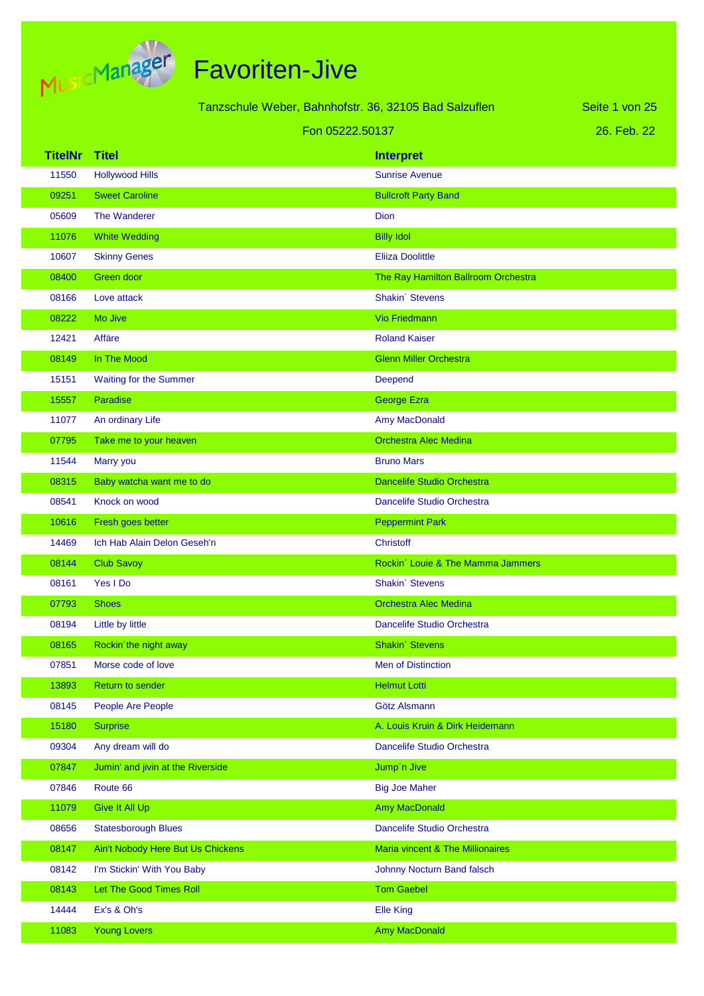

Tanzschule Weber, Bahnhofstr. 36, 32105 Bad Salzuflen

Seite 1 von 25

#### Fon 05222.50137

26. Feb. 22

| <b>TitelNr</b> | Titel                             | <b>Interpret</b>                    |
|----------------|-----------------------------------|-------------------------------------|
| 11550          | <b>Hollywood Hills</b>            | <b>Sunrise Avenue</b>               |
| 09251          | <b>Sweet Caroline</b>             | <b>Bullcroft Party Band</b>         |
| 05609          | The Wanderer                      | Dion                                |
| 11076          | <b>White Wedding</b>              | <b>Billy Idol</b>                   |
| 10607          | <b>Skinny Genes</b>               | <b>Eliiza Doolittle</b>             |
| 08400          | Green door                        | The Ray Hamilton Ballroom Orchestra |
| 08166          | Love attack                       | Shakin' Stevens                     |
| 08222          | Mo Jive                           | <b>Vio Friedmann</b>                |
| 12421          | Affäre                            | <b>Roland Kaiser</b>                |
| 08149          | In The Mood                       | <b>Glenn Miller Orchestra</b>       |
| 15151          | Waiting for the Summer            | Deepend                             |
| 15557          | Paradise                          | George Ezra                         |
| 11077          | An ordinary Life                  | Amy MacDonald                       |
| 07795          | Take me to your heaven            | <b>Orchestra Alec Medina</b>        |
| 11544          | Marry you                         | <b>Bruno Mars</b>                   |
| 08315          | Baby watcha want me to do         | Dancelife Studio Orchestra          |
| 08541          | Knock on wood                     | Dancelife Studio Orchestra          |
| 10616          | Fresh goes better                 | <b>Peppermint Park</b>              |
| 14469          | Ich Hab Alain Delon Geseh'n       | Christoff                           |
| 08144          | <b>Club Savoy</b>                 | Rockin' Louie & The Mamma Jammers   |
| 08161          | Yes I Do                          | Shakin' Stevens                     |
| 07793          | <b>Shoes</b>                      | <b>Orchestra Alec Medina</b>        |
| 08194          | Little by little                  | Dancelife Studio Orchestra          |
| 08165          | Rockin'the night away             | Shakin' Stevens                     |
| 07851          | Morse code of love                | Men of Distinction                  |
| 13893          | Return to sender                  | <b>Helmut Lotti</b>                 |
| 08145          | People Are People                 | Götz Alsmann                        |
| 15180          | <b>Surprise</b>                   | A. Louis Kruin & Dirk Heidemann     |
| 09304          | Any dream will do                 | Dancelife Studio Orchestra          |
| 07847          | Jumin' and jivin at the Riverside | Jump'n Jive                         |
| 07846          | Route 66                          | <b>Big Joe Maher</b>                |
| 11079          | Give It All Up                    | Amy MacDonald                       |
| 08656          | <b>Statesborough Blues</b>        | Dancelife Studio Orchestra          |
| 08147          | Ain't Nobody Here But Us Chickens | Maria vincent & The Millionaires    |
| 08142          | I'm Stickin' With You Baby        | Johnny Nocturn Band falsch          |
| 08143          | Let The Good Times Roll           | <b>Tom Gaebel</b>                   |
| 14444          | Ex's & Oh's                       | <b>Elle King</b>                    |
| 11083          | <b>Young Lovers</b>               | Amy MacDonald                       |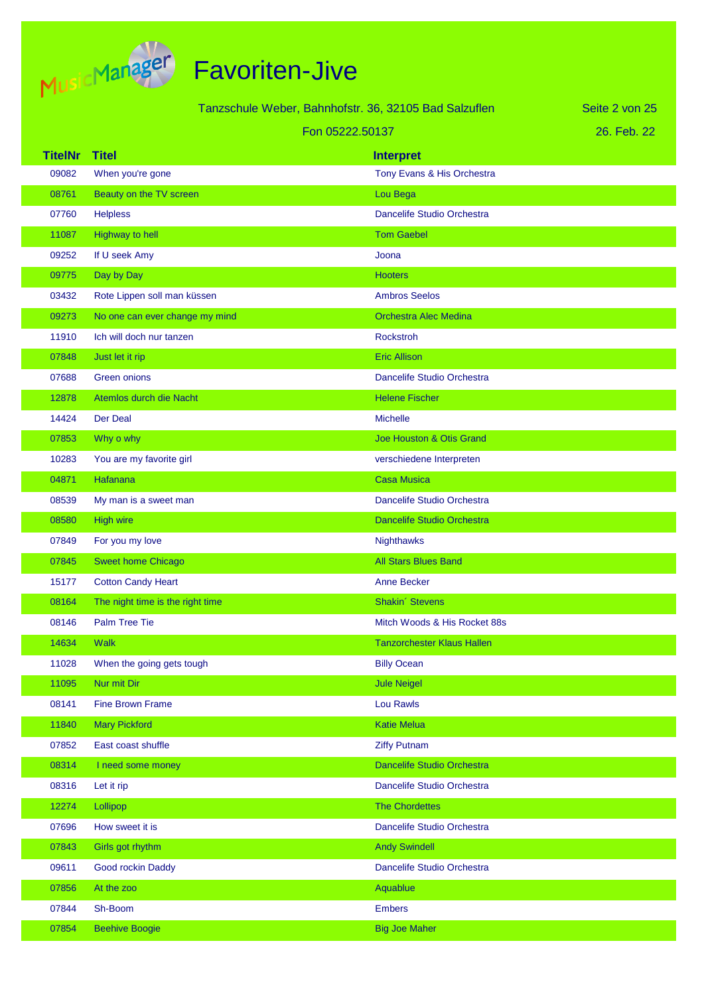

|                |                                  | Tanzschule Weber, Bahnhofstr. 36, 32105 Bad Salzuflen | Seite 2 von 25 |
|----------------|----------------------------------|-------------------------------------------------------|----------------|
|                |                                  | Fon 05222.50137                                       | 26. Feb. 22    |
| <b>TitelNr</b> | <b>Titel</b>                     | <b>Interpret</b>                                      |                |
| 09082          | When you're gone                 | Tony Evans & His Orchestra                            |                |
| 08761          | Beauty on the TV screen          | Lou Bega                                              |                |
| 07760          | <b>Helpless</b>                  | Dancelife Studio Orchestra                            |                |
| 11087          | <b>Highway to hell</b>           | <b>Tom Gaebel</b>                                     |                |
| 09252          | If U seek Amy                    | Joona                                                 |                |
| 09775          | Day by Day                       | <b>Hooters</b>                                        |                |
| 03432          | Rote Lippen soll man küssen      | <b>Ambros Seelos</b>                                  |                |
| 09273          | No one can ever change my mind   | <b>Orchestra Alec Medina</b>                          |                |
| 11910          | Ich will doch nur tanzen         | <b>Rockstroh</b>                                      |                |
| 07848          | Just let it rip                  | <b>Eric Allison</b>                                   |                |
| 07688          | <b>Green onions</b>              | Dancelife Studio Orchestra                            |                |
| 12878          | Atemlos durch die Nacht          | <b>Helene Fischer</b>                                 |                |
| 14424          | <b>Der Deal</b>                  | <b>Michelle</b>                                       |                |
| 07853          | Why o why                        | Joe Houston & Otis Grand                              |                |
| 10283          | You are my favorite girl         | verschiedene Interpreten                              |                |
| 04871          | Hafanana                         | <b>Casa Musica</b>                                    |                |
| 08539          | My man is a sweet man            | Dancelife Studio Orchestra                            |                |
| 08580          | <b>High wire</b>                 | <b>Dancelife Studio Orchestra</b>                     |                |
| 07849          | For you my love                  | Nighthawks                                            |                |
| 07845          | <b>Sweet home Chicago</b>        | <b>All Stars Blues Band</b>                           |                |
| 15177          | <b>Cotton Candy Heart</b>        | <b>Anne Becker</b>                                    |                |
| 08164          | The night time is the right time | Shakin' Stevens                                       |                |
| 08146          | <b>Palm Tree Tie</b>             | Mitch Woods & His Rocket 88s                          |                |
| 14634          | <b>Walk</b>                      | <b>Tanzorchester Klaus Hallen</b>                     |                |
| 11028          | When the going gets tough        | <b>Billy Ocean</b>                                    |                |
| 11095          | Nur mit Dir                      | <b>Jule Neigel</b>                                    |                |
| 08141          | <b>Fine Brown Frame</b>          | Lou Rawls                                             |                |
| 11840          | <b>Mary Pickford</b>             | <b>Katie Melua</b>                                    |                |
| 07852          | East coast shuffle               | <b>Ziffy Putnam</b>                                   |                |
| 08314          | I need some money                | Dancelife Studio Orchestra                            |                |
| 08316          | Let it rip                       | Dancelife Studio Orchestra                            |                |
| 12274          | Lollipop                         | <b>The Chordettes</b>                                 |                |
| 07696          | How sweet it is                  | Dancelife Studio Orchestra                            |                |
| 07843          | Girls got rhythm                 | <b>Andy Swindell</b>                                  |                |
| 09611          | Good rockin Daddy                | Dancelife Studio Orchestra                            |                |
| 07856          | At the zoo                       | Aquablue                                              |                |
| 07844          | Sh-Boom                          | <b>Embers</b>                                         |                |
| 07854          | <b>Beehive Boogie</b>            | <b>Big Joe Maher</b>                                  |                |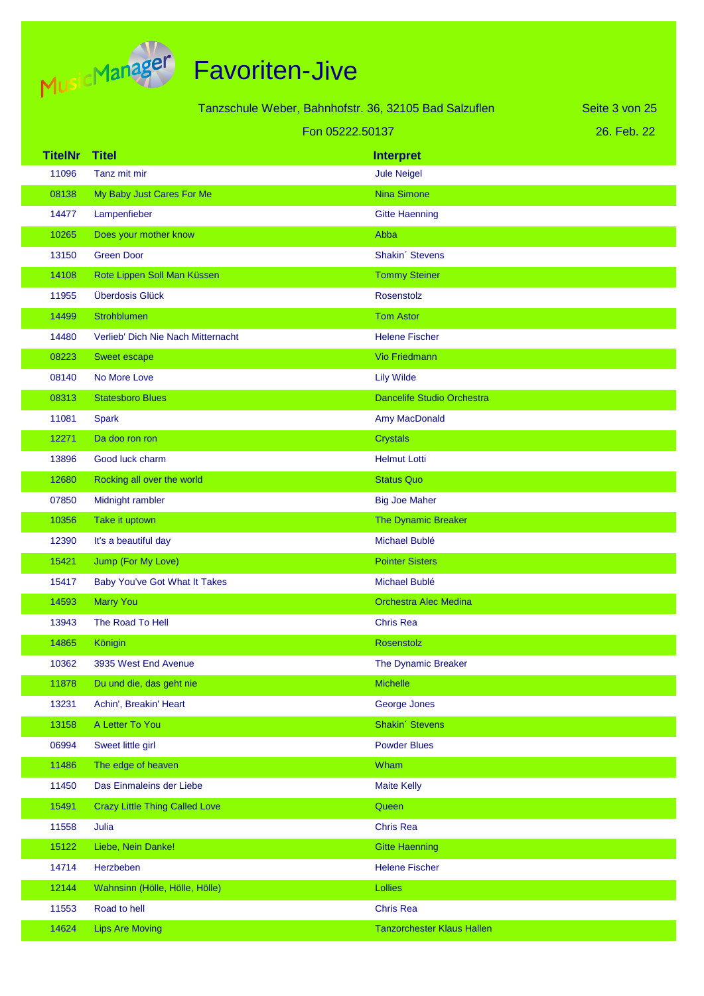

|                | Tanzschule Weber, Bahnhofstr. 36, 32105 Bad Salzuflen |                                   | Seite 3 von 25 |
|----------------|-------------------------------------------------------|-----------------------------------|----------------|
|                | Fon 05222.50137                                       |                                   | 26. Feb. 22    |
| <b>TitelNr</b> | <b>Titel</b>                                          | <b>Interpret</b>                  |                |
| 11096          | Tanz mit mir                                          | <b>Jule Neigel</b>                |                |
| 08138          | My Baby Just Cares For Me                             | <b>Nina Simone</b>                |                |
| 14477          | Lampenfieber                                          | <b>Gitte Haenning</b>             |                |
| 10265          | Does your mother know                                 | Abba                              |                |
| 13150          | <b>Green Door</b>                                     | Shakin' Stevens                   |                |
| 14108          | Rote Lippen Soll Man Küssen                           | <b>Tommy Steiner</b>              |                |
| 11955          | Überdosis Glück                                       | Rosenstolz                        |                |
| 14499          | Strohblumen                                           | <b>Tom Astor</b>                  |                |
| 14480          | Verlieb' Dich Nie Nach Mitternacht                    | <b>Helene Fischer</b>             |                |
| 08223          | Sweet escape                                          | <b>Vio Friedmann</b>              |                |
| 08140          | No More Love                                          | <b>Lily Wilde</b>                 |                |
| 08313          | <b>Statesboro Blues</b>                               | <b>Dancelife Studio Orchestra</b> |                |
| 11081          | <b>Spark</b>                                          | Amy MacDonald                     |                |
| 12271          | Da doo ron ron                                        | <b>Crystals</b>                   |                |
| 13896          | Good luck charm                                       | <b>Helmut Lotti</b>               |                |
| 12680          | Rocking all over the world                            | <b>Status Quo</b>                 |                |
| 07850          | Midnight rambler                                      | <b>Big Joe Maher</b>              |                |
| 10356          | Take it uptown                                        | The Dynamic Breaker               |                |
| 12390          | It's a beautiful day                                  | Michael Bublé                     |                |
| 15421          | Jump (For My Love)                                    | <b>Pointer Sisters</b>            |                |
| 15417          | <b>Baby You've Got What It Takes</b>                  | Michael Bublé                     |                |
| 14593          | <b>Marry You</b>                                      | <b>Orchestra Alec Medina</b>      |                |
| 13943          | The Road To Hell                                      | <b>Chris Rea</b>                  |                |
| 14865          | Königin                                               | Rosenstolz                        |                |
| 10362          | 3935 West End Avenue                                  | The Dynamic Breaker               |                |
| 11878          | Du und die, das geht nie                              | <b>Michelle</b>                   |                |
| 13231          | Achin', Breakin' Heart                                | George Jones                      |                |
| 13158          | A Letter To You                                       | Shakin' Stevens                   |                |
| 06994          | Sweet little girl                                     | <b>Powder Blues</b>               |                |
| 11486          | The edge of heaven                                    | Wham                              |                |
| 11450          | Das Einmaleins der Liebe                              | <b>Maite Kelly</b>                |                |
| 15491          | <b>Crazy Little Thing Called Love</b>                 | Queen                             |                |
| 11558          | Julia                                                 | <b>Chris Rea</b>                  |                |
| 15122          | Liebe, Nein Danke!                                    | <b>Gitte Haenning</b>             |                |
| 14714          | Herzbeben                                             | <b>Helene Fischer</b>             |                |
| 12144          | Wahnsinn (Hölle, Hölle, Hölle)                        | Lollies                           |                |
| 11553          | Road to hell                                          | <b>Chris Rea</b>                  |                |
| 14624          | <b>Lips Are Moving</b>                                | <b>Tanzorchester Klaus Hallen</b> |                |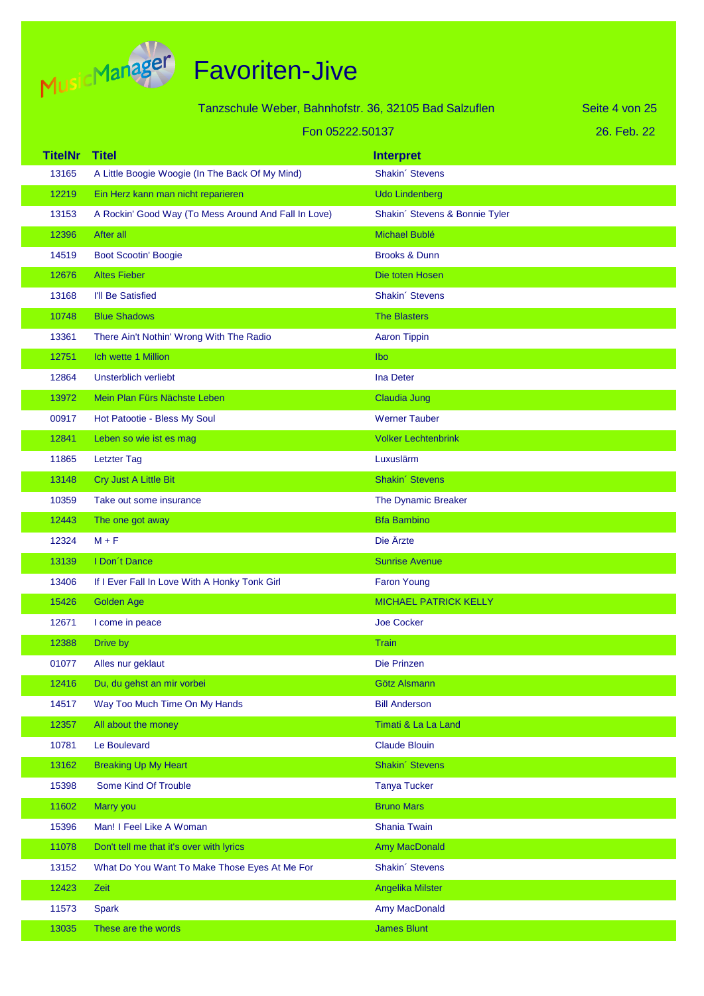

|                | Tanzschule Weber, Bahnhofstr. 36, 32105 Bad Salzuflen |                                | Seite 4 von 25 |
|----------------|-------------------------------------------------------|--------------------------------|----------------|
|                | Fon 05222.50137                                       |                                | 26. Feb. 22    |
| <b>TitelNr</b> | <b>Titel</b>                                          | <b>Interpret</b>               |                |
| 13165          | A Little Boogie Woogie (In The Back Of My Mind)       | Shakin' Stevens                |                |
| 12219          | Ein Herz kann man nicht reparieren                    | <b>Udo Lindenberg</b>          |                |
| 13153          | A Rockin' Good Way (To Mess Around And Fall In Love)  | Shakin' Stevens & Bonnie Tyler |                |
| 12396          | After all                                             | Michael Bublé                  |                |
| 14519          | <b>Boot Scootin' Boogie</b>                           | <b>Brooks &amp; Dunn</b>       |                |
| 12676          | <b>Altes Fieber</b>                                   | Die toten Hosen                |                |
| 13168          | I'll Be Satisfied                                     | Shakin' Stevens                |                |
| 10748          | <b>Blue Shadows</b>                                   | <b>The Blasters</b>            |                |
| 13361          | There Ain't Nothin' Wrong With The Radio              | <b>Aaron Tippin</b>            |                |
| 12751          | Ich wette 1 Million                                   | Ibo                            |                |
| 12864          | Unsterblich verliebt                                  | Ina Deter                      |                |
| 13972          | Mein Plan Fürs Nächste Leben                          | Claudia Jung                   |                |
| 00917          | Hot Patootie - Bless My Soul                          | <b>Werner Tauber</b>           |                |
| 12841          | Leben so wie ist es mag                               | <b>Volker Lechtenbrink</b>     |                |
| 11865          | <b>Letzter Tag</b>                                    | Luxuslärm                      |                |
| 13148          | Cry Just A Little Bit                                 | Shakin' Stevens                |                |
| 10359          | Take out some insurance                               | The Dynamic Breaker            |                |
| 12443          | The one got away                                      | <b>Bfa Bambino</b>             |                |
| 12324          | $M + F$                                               | Die Ärzte                      |                |
| 13139          | I Don't Dance                                         | <b>Sunrise Avenue</b>          |                |
| 13406          | If I Ever Fall In Love With A Honky Tonk Girl         | <b>Faron Young</b>             |                |
| 15426          | <b>Golden Age</b>                                     | <b>MICHAEL PATRICK KELLY</b>   |                |
| 12671          | I come in peace                                       | <b>Joe Cocker</b>              |                |
| 12388          | Drive by                                              | <b>Train</b>                   |                |
| 01077          | Alles nur geklaut                                     | Die Prinzen                    |                |
| 12416          | Du, du gehst an mir vorbei                            | Götz Alsmann                   |                |
| 14517          | Way Too Much Time On My Hands                         | <b>Bill Anderson</b>           |                |
| 12357          | All about the money                                   | Timati & La La Land            |                |
| 10781          | Le Boulevard                                          | <b>Claude Blouin</b>           |                |
| 13162          | <b>Breaking Up My Heart</b>                           | Shakin' Stevens                |                |
| 15398          | Some Kind Of Trouble                                  | <b>Tanya Tucker</b>            |                |
| 11602          | Marry you                                             | <b>Bruno Mars</b>              |                |
| 15396          | Man! I Feel Like A Woman                              | Shania Twain                   |                |
| 11078          | Don't tell me that it's over with lyrics              | <b>Amy MacDonald</b>           |                |
| 13152          | What Do You Want To Make Those Eyes At Me For         | Shakin' Stevens                |                |
| 12423          | Zeit                                                  | Angelika Milster               |                |
| 11573          | <b>Spark</b>                                          | Amy MacDonald                  |                |
| 13035          | These are the words                                   | <b>James Blunt</b>             |                |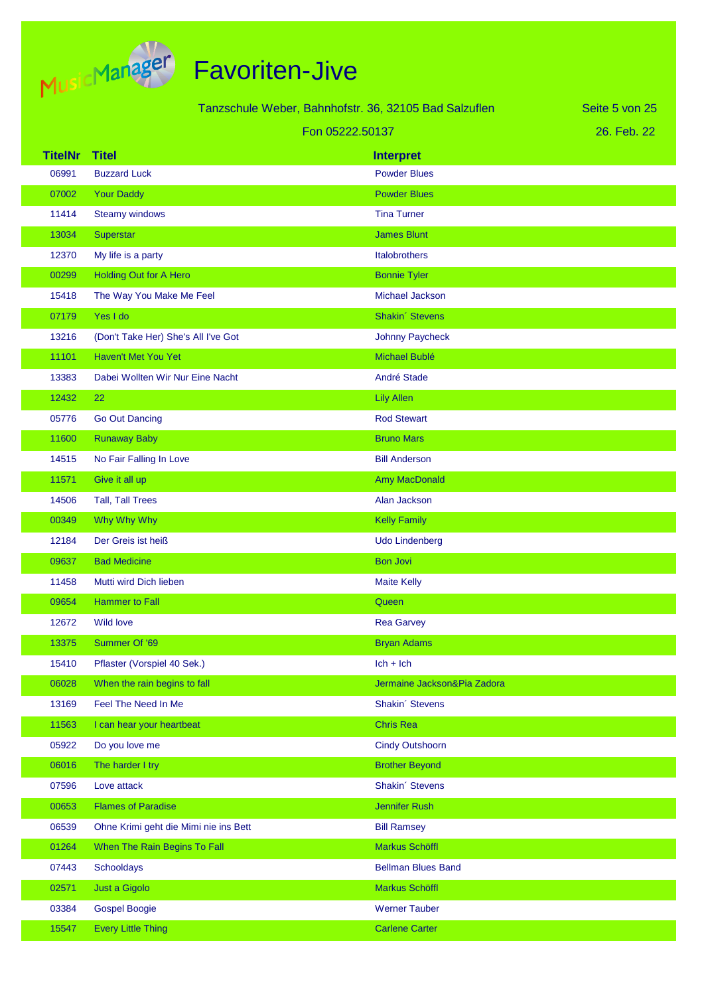

| Tanzschule Weber, Bahnhofstr. 36, 32105 Bad Salzuflen<br>Seite 5 von 25 |                                       |                             |             |
|-------------------------------------------------------------------------|---------------------------------------|-----------------------------|-------------|
| Fon 05222.50137                                                         |                                       |                             | 26. Feb. 22 |
| <b>TitelNr</b>                                                          | <b>Titel</b>                          | <b>Interpret</b>            |             |
| 06991                                                                   | <b>Buzzard Luck</b>                   | <b>Powder Blues</b>         |             |
| 07002                                                                   | <b>Your Daddy</b>                     | <b>Powder Blues</b>         |             |
| 11414                                                                   | <b>Steamy windows</b>                 | <b>Tina Turner</b>          |             |
| 13034                                                                   | Superstar                             | <b>James Blunt</b>          |             |
| 12370                                                                   | My life is a party                    | Italobrothers               |             |
| 00299                                                                   | <b>Holding Out for A Hero</b>         | <b>Bonnie Tyler</b>         |             |
| 15418                                                                   | The Way You Make Me Feel              | Michael Jackson             |             |
| 07179                                                                   | Yes I do                              | Shakin' Stevens             |             |
| 13216                                                                   | (Don't Take Her) She's All I've Got   | Johnny Paycheck             |             |
| 11101                                                                   | Haven't Met You Yet                   | Michael Bublé               |             |
| 13383                                                                   | Dabei Wollten Wir Nur Eine Nacht      | André Stade                 |             |
| 12432                                                                   | 22                                    | <b>Lily Allen</b>           |             |
| 05776                                                                   | <b>Go Out Dancing</b>                 | <b>Rod Stewart</b>          |             |
| 11600                                                                   | <b>Runaway Baby</b>                   | <b>Bruno Mars</b>           |             |
| 14515                                                                   | No Fair Falling In Love               | <b>Bill Anderson</b>        |             |
| 11571                                                                   | Give it all up                        | Amy MacDonald               |             |
| 14506                                                                   | <b>Tall, Tall Trees</b>               | Alan Jackson                |             |
| 00349                                                                   | Why Why Why                           | <b>Kelly Family</b>         |             |
| 12184                                                                   | Der Greis ist heiß                    | <b>Udo Lindenberg</b>       |             |
| 09637                                                                   | <b>Bad Medicine</b>                   | <b>Bon Jovi</b>             |             |
| 11458                                                                   | Mutti wird Dich lieben                | <b>Maite Kelly</b>          |             |
| 09654                                                                   | <b>Hammer to Fall</b>                 | Queen                       |             |
| 12672                                                                   | <b>Wild love</b>                      | <b>Rea Garvey</b>           |             |
| 13375                                                                   | Summer Of '69                         | <b>Bryan Adams</b>          |             |
| 15410                                                                   | Pflaster (Vorspiel 40 Sek.)           | $lch + lch$                 |             |
| 06028                                                                   | When the rain begins to fall          | Jermaine Jackson&Pia Zadora |             |
| 13169                                                                   | Feel The Need In Me                   | Shakin' Stevens             |             |
| 11563                                                                   | I can hear your heartbeat             | <b>Chris Rea</b>            |             |
| 05922                                                                   | Do you love me                        | <b>Cindy Outshoorn</b>      |             |
| 06016                                                                   | The harder I try                      | <b>Brother Beyond</b>       |             |
| 07596                                                                   | Love attack                           | Shakin' Stevens             |             |
| 00653                                                                   | <b>Flames of Paradise</b>             | <b>Jennifer Rush</b>        |             |
| 06539                                                                   | Ohne Krimi geht die Mimi nie ins Bett | <b>Bill Ramsey</b>          |             |
| 01264                                                                   | When The Rain Begins To Fall          | Markus Schöffl              |             |
| 07443                                                                   | Schooldays                            | <b>Bellman Blues Band</b>   |             |
| 02571                                                                   | Just a Gigolo                         | Markus Schöffl              |             |
| 03384                                                                   | <b>Gospel Boogie</b>                  | <b>Werner Tauber</b>        |             |
| 15547                                                                   | <b>Every Little Thing</b>             | <b>Carlene Carter</b>       |             |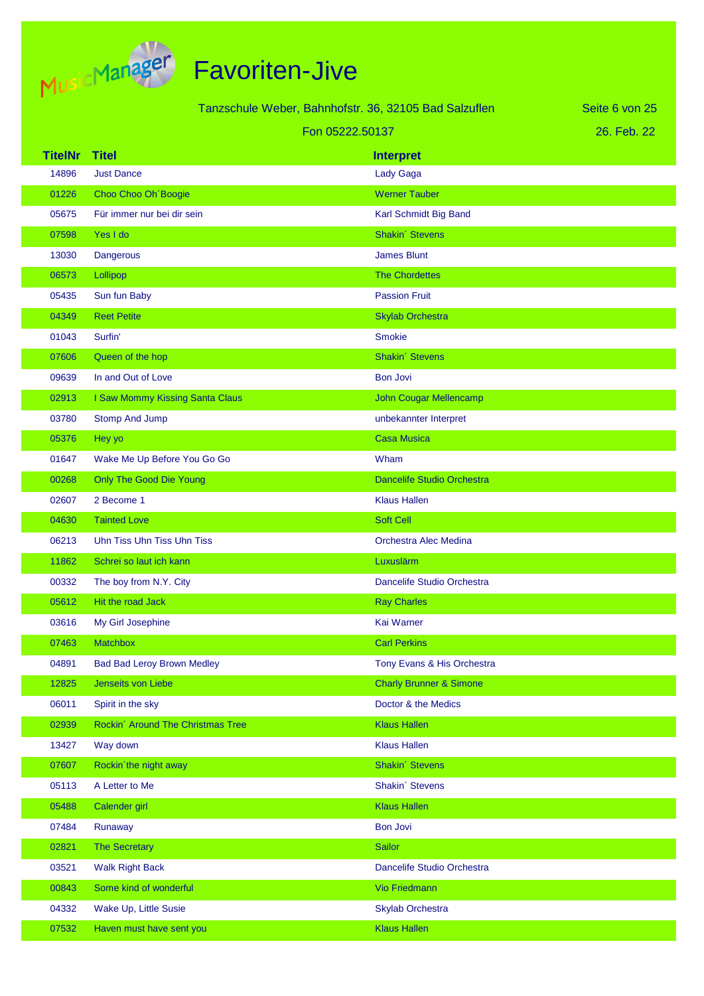

| Tanzschule Weber, Bahnhofstr. 36, 32105 Bad Salzuflen |                                   |                                    | Seite 6 von 25 |
|-------------------------------------------------------|-----------------------------------|------------------------------------|----------------|
| Fon 05222.50137                                       |                                   |                                    | 26. Feb. 22    |
| <b>TitelNr</b>                                        | <b>Titel</b>                      | <b>Interpret</b>                   |                |
| 14896                                                 | <b>Just Dance</b>                 | <b>Lady Gaga</b>                   |                |
| 01226                                                 | Choo Choo Oh Boogie               | <b>Werner Tauber</b>               |                |
| 05675                                                 | Für immer nur bei dir sein        | Karl Schmidt Big Band              |                |
| 07598                                                 | Yes I do                          | Shakin' Stevens                    |                |
| 13030                                                 | Dangerous                         | <b>James Blunt</b>                 |                |
| 06573                                                 | Lollipop                          | <b>The Chordettes</b>              |                |
| 05435                                                 | Sun fun Baby                      | <b>Passion Fruit</b>               |                |
| 04349                                                 | <b>Reet Petite</b>                | <b>Skylab Orchestra</b>            |                |
| 01043                                                 | Surfin'                           | <b>Smokie</b>                      |                |
| 07606                                                 | Queen of the hop                  | Shakin' Stevens                    |                |
| 09639                                                 | In and Out of Love                | <b>Bon Jovi</b>                    |                |
| 02913                                                 | I Saw Mommy Kissing Santa Claus   | <b>John Cougar Mellencamp</b>      |                |
| 03780                                                 | Stomp And Jump                    | unbekannter Interpret              |                |
| 05376                                                 | Hey yo                            | <b>Casa Musica</b>                 |                |
| 01647                                                 | Wake Me Up Before You Go Go       | Wham                               |                |
| 00268                                                 | <b>Only The Good Die Young</b>    | Dancelife Studio Orchestra         |                |
| 02607                                                 | 2 Become 1                        | <b>Klaus Hallen</b>                |                |
| 04630                                                 | <b>Tainted Love</b>               | <b>Soft Cell</b>                   |                |
| 06213                                                 | Uhn Tiss Uhn Tiss Uhn Tiss        | <b>Orchestra Alec Medina</b>       |                |
| 11862                                                 | Schrei so laut ich kann           | Luxuslärm                          |                |
| 00332                                                 | The boy from N.Y. City            | Dancelife Studio Orchestra         |                |
| 05612                                                 | Hit the road Jack                 | <b>Ray Charles</b>                 |                |
| 03616                                                 | My Girl Josephine                 | Kai Warner                         |                |
| 07463                                                 | <b>Matchbox</b>                   | <b>Carl Perkins</b>                |                |
| 04891                                                 | <b>Bad Bad Leroy Brown Medley</b> | Tony Evans & His Orchestra         |                |
| 12825                                                 | Jenseits von Liebe                | <b>Charly Brunner &amp; Simone</b> |                |
| 06011                                                 | Spirit in the sky                 | Doctor & the Medics                |                |
| 02939                                                 | Rockin' Around The Christmas Tree | <b>Klaus Hallen</b>                |                |
| 13427                                                 | Way down                          | <b>Klaus Hallen</b>                |                |
| 07607                                                 | Rockin'the night away             | Shakin' Stevens                    |                |
| 05113                                                 | A Letter to Me                    | Shakin' Stevens                    |                |
| 05488                                                 | Calender girl                     | <b>Klaus Hallen</b>                |                |
| 07484                                                 | Runaway                           | <b>Bon Jovi</b>                    |                |
| 02821                                                 | The Secretary                     | <b>Sailor</b>                      |                |
| 03521                                                 | <b>Walk Right Back</b>            | Dancelife Studio Orchestra         |                |
| 00843                                                 | Some kind of wonderful            | <b>Vio Friedmann</b>               |                |
| 04332                                                 | Wake Up, Little Susie             | <b>Skylab Orchestra</b>            |                |
| 07532                                                 | Haven must have sent you          | <b>Klaus Hallen</b>                |                |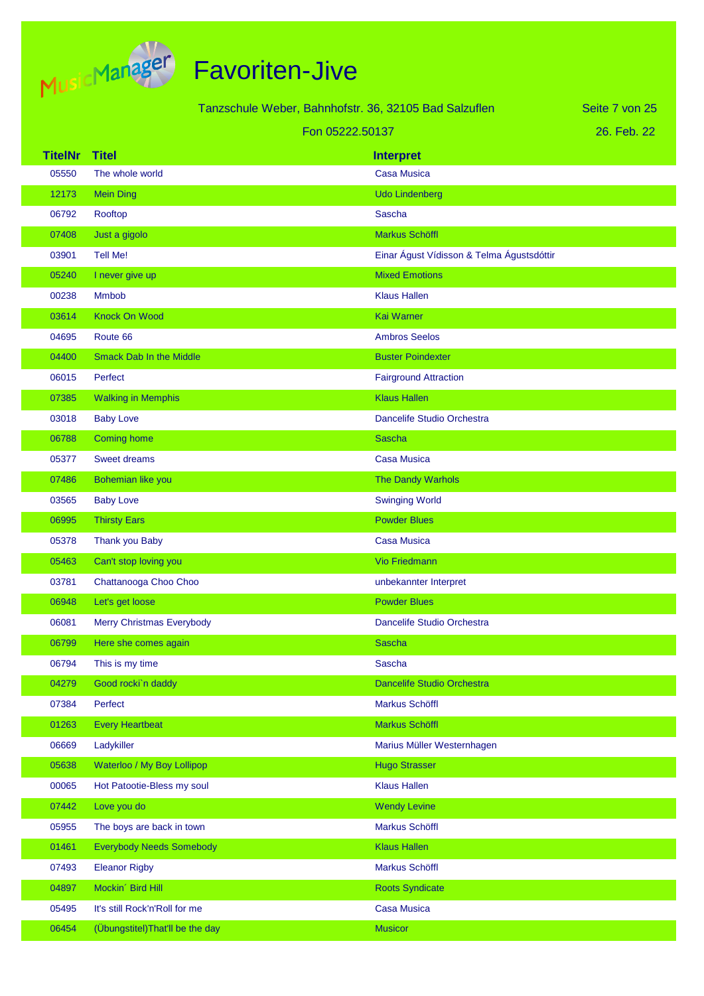

|                |                                  | Tanzschule Weber, Bahnhofstr. 36, 32105 Bad Salzuflen | Seite 7 von 25 |
|----------------|----------------------------------|-------------------------------------------------------|----------------|
|                |                                  | Fon 05222.50137                                       | 26. Feb. 22    |
| <b>TitelNr</b> | <b>Titel</b>                     | <b>Interpret</b>                                      |                |
| 05550          | The whole world                  | <b>Casa Musica</b>                                    |                |
| 12173          | <b>Mein Ding</b>                 | <b>Udo Lindenberg</b>                                 |                |
| 06792          | Rooftop                          | Sascha                                                |                |
| 07408          | Just a gigolo                    | Markus Schöffl                                        |                |
| 03901          | <b>Tell Me!</b>                  | Einar Águst Vídisson & Telma Águstsdóttir             |                |
| 05240          | I never give up                  | <b>Mixed Emotions</b>                                 |                |
| 00238          | <b>Mmbob</b>                     | <b>Klaus Hallen</b>                                   |                |
| 03614          | <b>Knock On Wood</b>             | <b>Kai Warner</b>                                     |                |
| 04695          | Route 66                         | <b>Ambros Seelos</b>                                  |                |
| 04400          | <b>Smack Dab In the Middle</b>   | <b>Buster Poindexter</b>                              |                |
| 06015          | Perfect                          | <b>Fairground Attraction</b>                          |                |
| 07385          | <b>Walking in Memphis</b>        | <b>Klaus Hallen</b>                                   |                |
| 03018          | <b>Baby Love</b>                 | Dancelife Studio Orchestra                            |                |
| 06788          | <b>Coming home</b>               | <b>Sascha</b>                                         |                |
| 05377          | <b>Sweet dreams</b>              | <b>Casa Musica</b>                                    |                |
| 07486          | Bohemian like you                | The Dandy Warhols                                     |                |
| 03565          | <b>Baby Love</b>                 | <b>Swinging World</b>                                 |                |
| 06995          | <b>Thirsty Ears</b>              | <b>Powder Blues</b>                                   |                |
| 05378          | Thank you Baby                   | <b>Casa Musica</b>                                    |                |
| 05463          | Can't stop loving you            | <b>Vio Friedmann</b>                                  |                |
| 03781          | Chattanooga Choo Choo            | unbekannter Interpret                                 |                |
| 06948          | Let's get loose                  | <b>Powder Blues</b>                                   |                |
| 06081          | <b>Merry Christmas Everybody</b> | <b>Dancelife Studio Orchestra</b>                     |                |
| 06799          | Here she comes again             | <b>Sascha</b>                                         |                |
| 06794          | This is my time                  | Sascha                                                |                |
| 04279          | Good rocki'n daddy               | Dancelife Studio Orchestra                            |                |
| 07384          | Perfect                          | Markus Schöffl                                        |                |
| 01263          | <b>Every Heartbeat</b>           | Markus Schöffl                                        |                |
| 06669          | Ladykiller                       | Marius Müller Westernhagen                            |                |
| 05638          | Waterloo / My Boy Lollipop       | <b>Hugo Strasser</b>                                  |                |
| 00065          | Hot Patootie-Bless my soul       | <b>Klaus Hallen</b>                                   |                |
| 07442          | Love you do                      | <b>Wendy Levine</b>                                   |                |
| 05955          | The boys are back in town        | Markus Schöffl                                        |                |
| 01461          | <b>Everybody Needs Somebody</b>  | <b>Klaus Hallen</b>                                   |                |
| 07493          | <b>Eleanor Rigby</b>             | Markus Schöffl                                        |                |
| 04897          | Mockin' Bird Hill                | <b>Roots Syndicate</b>                                |                |
| 05495          | It's still Rock'n'Roll for me    | <b>Casa Musica</b>                                    |                |
| 06454          | (Übungstitel) That'll be the day | <b>Musicor</b>                                        |                |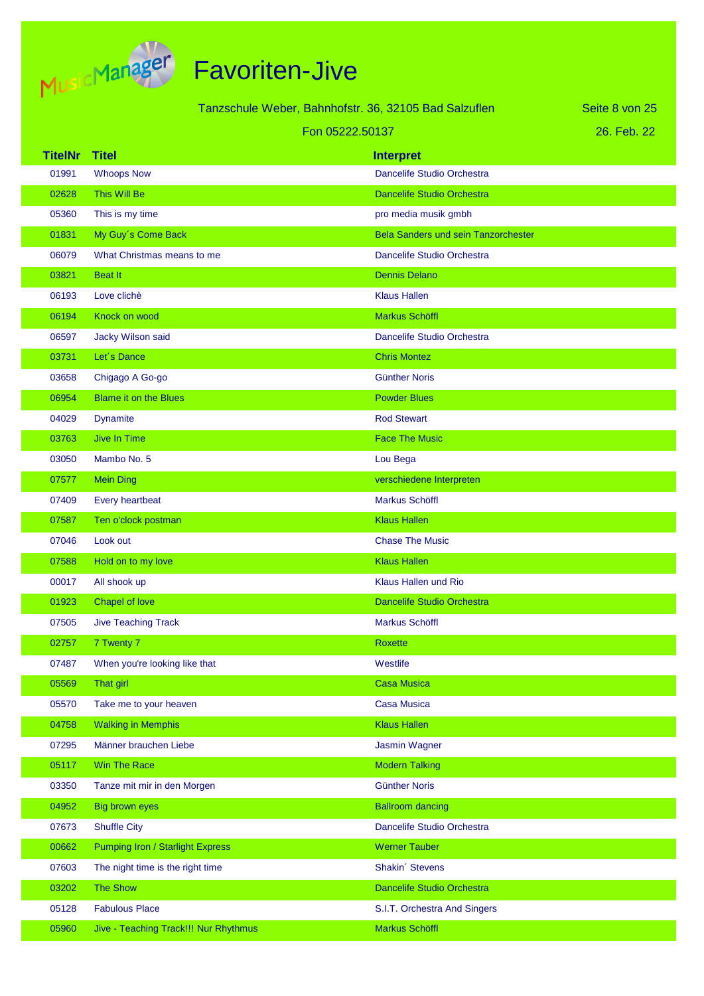

|                 |                                         | Tanzschule Weber, Bahnhofstr. 36, 32105 Bad Salzuflen | Seite 8 von 25 |
|-----------------|-----------------------------------------|-------------------------------------------------------|----------------|
| Fon 05222.50137 |                                         |                                                       | 26. Feb. 22    |
| <b>TitelNr</b>  | <b>Titel</b>                            | <b>Interpret</b>                                      |                |
| 01991           | <b>Whoops Now</b>                       | Dancelife Studio Orchestra                            |                |
| 02628           | This Will Be                            | <b>Dancelife Studio Orchestra</b>                     |                |
| 05360           | This is my time                         | pro media musik gmbh                                  |                |
| 01831           | My Guy's Come Back                      | <b>Bela Sanders und sein Tanzorchester</b>            |                |
| 06079           | What Christmas means to me              | Dancelife Studio Orchestra                            |                |
| 03821           | <b>Beat It</b>                          | <b>Dennis Delano</b>                                  |                |
| 06193           | Love clichè                             | <b>Klaus Hallen</b>                                   |                |
| 06194           | Knock on wood                           | Markus Schöffl                                        |                |
| 06597           | Jacky Wilson said                       | Dancelife Studio Orchestra                            |                |
| 03731           | Let's Dance                             | <b>Chris Montez</b>                                   |                |
| 03658           | Chigago A Go-go                         | <b>Günther Noris</b>                                  |                |
| 06954           | <b>Blame it on the Blues</b>            | <b>Powder Blues</b>                                   |                |
| 04029           | <b>Dynamite</b>                         | <b>Rod Stewart</b>                                    |                |
| 03763           | <b>Jive In Time</b>                     | <b>Face The Music</b>                                 |                |
| 03050           | Mambo No. 5                             | Lou Bega                                              |                |
| 07577           | <b>Mein Ding</b>                        | verschiedene Interpreten                              |                |
| 07409           | Every heartbeat                         | Markus Schöffl                                        |                |
| 07587           | Ten o'clock postman                     | <b>Klaus Hallen</b>                                   |                |
| 07046           | Look out                                | <b>Chase The Music</b>                                |                |
| 07588           | Hold on to my love                      | <b>Klaus Hallen</b>                                   |                |
| 00017           | All shook up                            | Klaus Hallen und Rio                                  |                |
| 01923           | <b>Chapel of love</b>                   | <b>Dancelife Studio Orchestra</b>                     |                |
| 07505           | <b>Jive Teaching Track</b>              | Markus Schöffl                                        |                |
| 02757           | 7 Twenty 7                              | <b>Roxette</b>                                        |                |
| 07487           | When you're looking like that           | Westlife                                              |                |
| 05569           | That girl                               | <b>Casa Musica</b>                                    |                |
| 05570           | Take me to your heaven                  | <b>Casa Musica</b>                                    |                |
| 04758           | <b>Walking in Memphis</b>               | <b>Klaus Hallen</b>                                   |                |
| 07295           | Männer brauchen Liebe                   | <b>Jasmin Wagner</b>                                  |                |
| 05117           | <b>Win The Race</b>                     | <b>Modern Talking</b>                                 |                |
| 03350           | Tanze mit mir in den Morgen             | <b>Günther Noris</b>                                  |                |
| 04952           | <b>Big brown eyes</b>                   | <b>Ballroom dancing</b>                               |                |
| 07673           | <b>Shuffle City</b>                     | Dancelife Studio Orchestra                            |                |
| 00662           | <b>Pumping Iron / Starlight Express</b> | <b>Werner Tauber</b>                                  |                |
| 07603           | The night time is the right time        | Shakin' Stevens                                       |                |
| 03202           | <b>The Show</b>                         | Dancelife Studio Orchestra                            |                |
| 05128           | <b>Fabulous Place</b>                   | S.I.T. Orchestra And Singers                          |                |
| 05960           | Jive - Teaching Track!!! Nur Rhythmus   | Markus Schöffl                                        |                |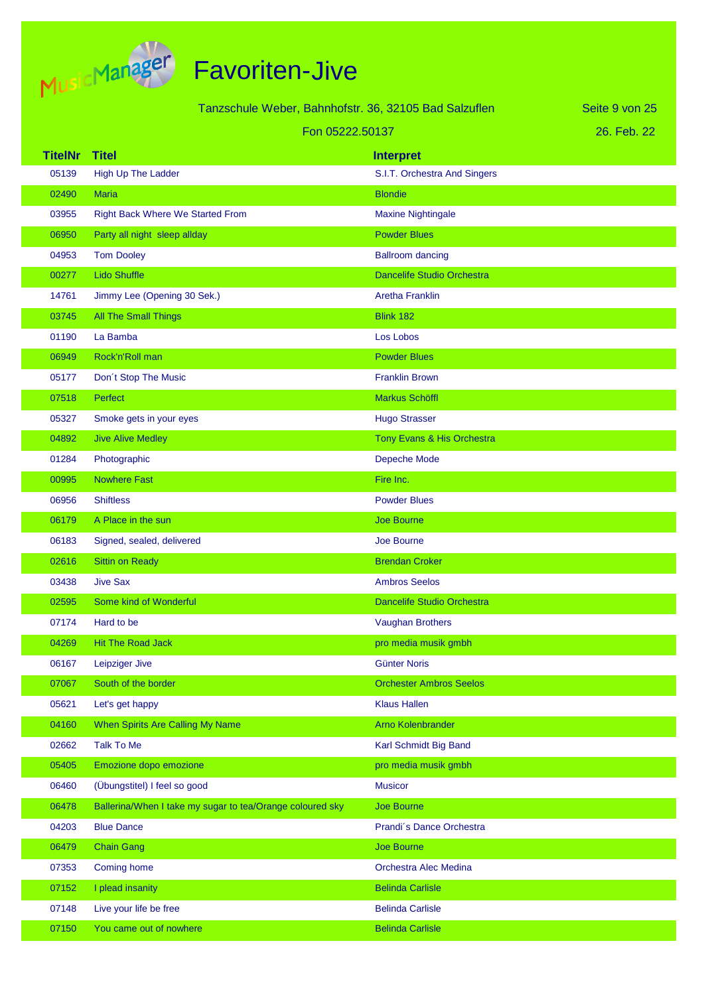

|                | Tanzschule Weber, Bahnhofstr. 36, 32105 Bad Salzuflen     |                                   | Seite 9 von 25 |
|----------------|-----------------------------------------------------------|-----------------------------------|----------------|
|                | Fon 05222.50137                                           |                                   | 26. Feb. 22    |
| <b>TitelNr</b> | <b>Titel</b>                                              | <b>Interpret</b>                  |                |
| 05139          | <b>High Up The Ladder</b>                                 | S.I.T. Orchestra And Singers      |                |
| 02490          | <b>Maria</b>                                              | <b>Blondie</b>                    |                |
| 03955          | <b>Right Back Where We Started From</b>                   | <b>Maxine Nightingale</b>         |                |
| 06950          | Party all night sleep allday                              | <b>Powder Blues</b>               |                |
| 04953          | <b>Tom Dooley</b>                                         | <b>Ballroom dancing</b>           |                |
| 00277          | <b>Lido Shuffle</b>                                       | <b>Dancelife Studio Orchestra</b> |                |
| 14761          | Jimmy Lee (Opening 30 Sek.)                               | <b>Aretha Franklin</b>            |                |
| 03745          | <b>All The Small Things</b>                               | <b>Blink 182</b>                  |                |
| 01190          | La Bamba                                                  | Los Lobos                         |                |
| 06949          | Rock'n'Roll man                                           | <b>Powder Blues</b>               |                |
| 05177          | Don't Stop The Music                                      | <b>Franklin Brown</b>             |                |
| 07518          | <b>Perfect</b>                                            | Markus Schöffl                    |                |
| 05327          | Smoke gets in your eyes                                   | <b>Hugo Strasser</b>              |                |
| 04892          | <b>Jive Alive Medley</b>                                  | Tony Evans & His Orchestra        |                |
| 01284          | Photographic                                              | Depeche Mode                      |                |
| 00995          | <b>Nowhere Fast</b>                                       | Fire Inc.                         |                |
| 06956          | <b>Shiftless</b>                                          | <b>Powder Blues</b>               |                |
| 06179          | A Place in the sun                                        | <b>Joe Bourne</b>                 |                |
| 06183          | Signed, sealed, delivered                                 | <b>Joe Bourne</b>                 |                |
| 02616          | <b>Sittin on Ready</b>                                    | <b>Brendan Croker</b>             |                |
| 03438          | <b>Jive Sax</b>                                           | <b>Ambros Seelos</b>              |                |
| 02595          | Some kind of Wonderful                                    | <b>Dancelife Studio Orchestra</b> |                |
| 07174          | Hard to be                                                | Vaughan Brothers                  |                |
| 04269          | <b>Hit The Road Jack</b>                                  | pro media musik gmbh              |                |
| 06167          | Leipziger Jive                                            | <b>Günter Noris</b>               |                |
| 07067          | South of the border                                       | <b>Orchester Ambros Seelos</b>    |                |
| 05621          | Let's get happy                                           | <b>Klaus Hallen</b>               |                |
| 04160          | When Spirits Are Calling My Name                          | <b>Arno Kolenbrander</b>          |                |
| 02662          | <b>Talk To Me</b>                                         | Karl Schmidt Big Band             |                |
| 05405          | Emozione dopo emozione                                    | pro media musik gmbh              |                |
| 06460          | (Übungstitel) I feel so good                              | <b>Musicor</b>                    |                |
| 06478          | Ballerina/When I take my sugar to tea/Orange coloured sky | Joe Bourne                        |                |
| 04203          | <b>Blue Dance</b>                                         | Prandi's Dance Orchestra          |                |
| 06479          | <b>Chain Gang</b>                                         | <b>Joe Bourne</b>                 |                |
| 07353          | Coming home                                               | Orchestra Alec Medina             |                |
| 07152          | I plead insanity                                          | <b>Belinda Carlisle</b>           |                |
| 07148          | Live your life be free                                    | <b>Belinda Carlisle</b>           |                |
| 07150          | You came out of nowhere                                   | <b>Belinda Carlisle</b>           |                |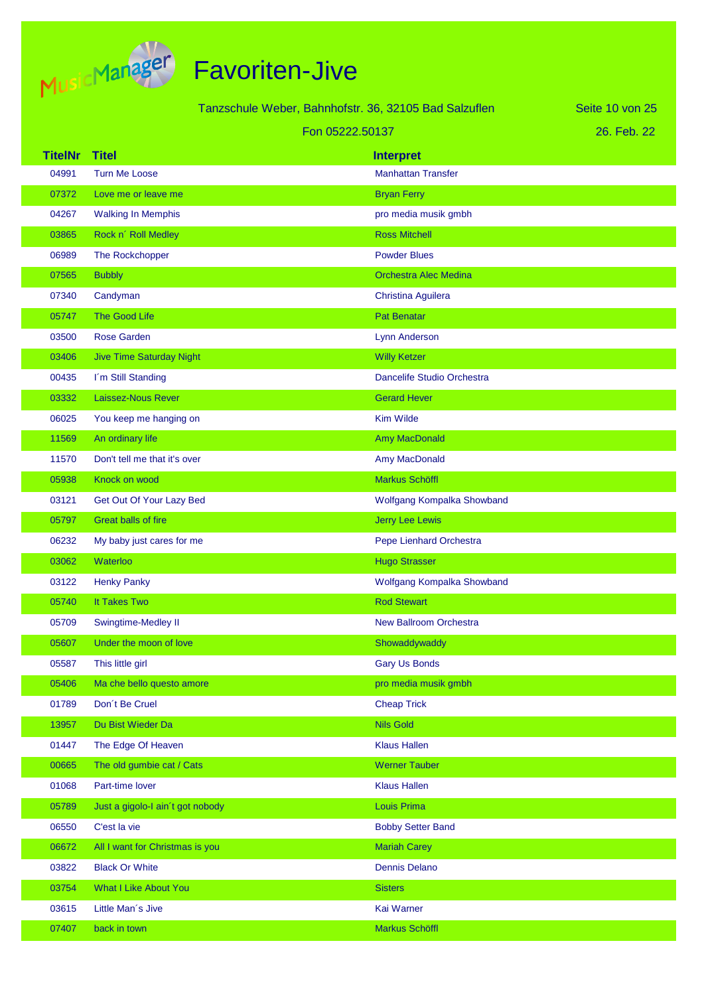

|                 |                                  | Tanzschule Weber, Bahnhofstr. 36, 32105 Bad Salzuflen | Seite 10 von 25 |
|-----------------|----------------------------------|-------------------------------------------------------|-----------------|
| Fon 05222.50137 |                                  |                                                       | 26. Feb. 22     |
| <b>TitelNr</b>  | <b>Titel</b>                     | <b>Interpret</b>                                      |                 |
| 04991           | <b>Turn Me Loose</b>             | <b>Manhattan Transfer</b>                             |                 |
| 07372           | Love me or leave me              | <b>Bryan Ferry</b>                                    |                 |
| 04267           | <b>Walking In Memphis</b>        | pro media musik gmbh                                  |                 |
| 03865           | Rock n' Roll Medley              | <b>Ross Mitchell</b>                                  |                 |
| 06989           | The Rockchopper                  | <b>Powder Blues</b>                                   |                 |
| 07565           | <b>Bubbly</b>                    | <b>Orchestra Alec Medina</b>                          |                 |
| 07340           | Candyman                         | Christina Aguilera                                    |                 |
| 05747           | <b>The Good Life</b>             | <b>Pat Benatar</b>                                    |                 |
| 03500           | <b>Rose Garden</b>               | <b>Lynn Anderson</b>                                  |                 |
| 03406           | <b>Jive Time Saturday Night</b>  | <b>Willy Ketzer</b>                                   |                 |
| 00435           | I'm Still Standing               | Dancelife Studio Orchestra                            |                 |
| 03332           | <b>Laissez-Nous Rever</b>        | <b>Gerard Hever</b>                                   |                 |
| 06025           | You keep me hanging on           | Kim Wilde                                             |                 |
| 11569           | An ordinary life                 | <b>Amy MacDonald</b>                                  |                 |
| 11570           | Don't tell me that it's over     | Amy MacDonald                                         |                 |
| 05938           | Knock on wood                    | <b>Markus Schöffl</b>                                 |                 |
| 03121           | Get Out Of Your Lazy Bed         | Wolfgang Kompalka Showband                            |                 |
| 05797           | Great balls of fire              | <b>Jerry Lee Lewis</b>                                |                 |
| 06232           | My baby just cares for me        | Pepe Lienhard Orchestra                               |                 |
| 03062           | Waterloo                         | <b>Hugo Strasser</b>                                  |                 |
| 03122           | <b>Henky Panky</b>               | Wolfgang Kompalka Showband                            |                 |
| 05740           | It Takes Two                     | <b>Rod Stewart</b>                                    |                 |
| 05709           | Swingtime-Medley II              | <b>New Ballroom Orchestra</b>                         |                 |
| 05607           | Under the moon of love           | Showaddywaddy                                         |                 |
| 05587           | This little girl                 | <b>Gary Us Bonds</b>                                  |                 |
| 05406           | Ma che bello questo amore        | pro media musik gmbh                                  |                 |
| 01789           | Don't Be Cruel                   | <b>Cheap Trick</b>                                    |                 |
| 13957           | Du Bist Wieder Da                | <b>Nils Gold</b>                                      |                 |
| 01447           | The Edge Of Heaven               | <b>Klaus Hallen</b>                                   |                 |
| 00665           | The old gumbie cat / Cats        | <b>Werner Tauber</b>                                  |                 |
| 01068           | Part-time lover                  | <b>Klaus Hallen</b>                                   |                 |
| 05789           | Just a gigolo-I ain't got nobody | Louis Prima                                           |                 |
| 06550           | C'est la vie                     | <b>Bobby Setter Band</b>                              |                 |
| 06672           | All I want for Christmas is you  | <b>Mariah Carey</b>                                   |                 |
| 03822           | <b>Black Or White</b>            | <b>Dennis Delano</b>                                  |                 |
| 03754           | <b>What I Like About You</b>     | <b>Sisters</b>                                        |                 |
| 03615           | Little Man's Jive                | Kai Warner                                            |                 |
| 07407           | back in town                     | Markus Schöffl                                        |                 |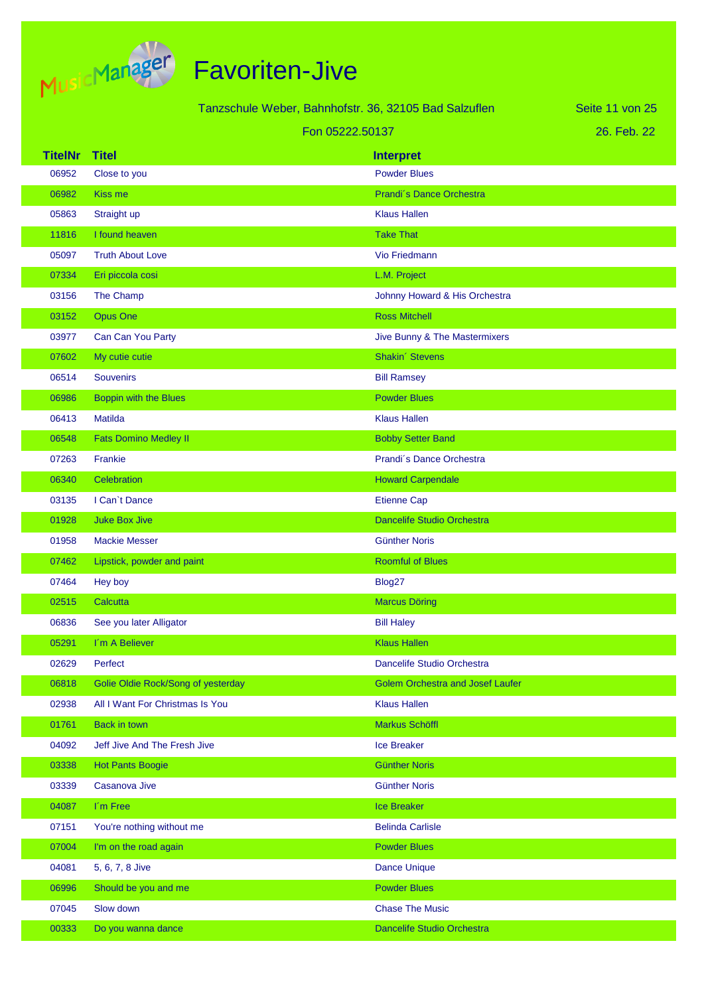

|                |                                    | Tanzschule Weber, Bahnhofstr. 36, 32105 Bad Salzuflen | Seite 11 von 25 |
|----------------|------------------------------------|-------------------------------------------------------|-----------------|
|                |                                    | Fon 05222.50137                                       | 26. Feb. 22     |
| <b>TitelNr</b> | <b>Titel</b>                       | <b>Interpret</b>                                      |                 |
| 06952          | Close to you                       | <b>Powder Blues</b>                                   |                 |
| 06982          | Kiss me                            | Prandi's Dance Orchestra                              |                 |
| 05863          | Straight up                        | <b>Klaus Hallen</b>                                   |                 |
| 11816          | I found heaven                     | <b>Take That</b>                                      |                 |
| 05097          | <b>Truth About Love</b>            | Vio Friedmann                                         |                 |
| 07334          | Eri piccola cosi                   | L.M. Project                                          |                 |
| 03156          | The Champ                          | Johnny Howard & His Orchestra                         |                 |
| 03152          | <b>Opus One</b>                    | <b>Ross Mitchell</b>                                  |                 |
| 03977          | Can Can You Party                  | Jive Bunny & The Mastermixers                         |                 |
| 07602          | My cutie cutie                     | Shakin' Stevens                                       |                 |
| 06514          | <b>Souvenirs</b>                   | <b>Bill Ramsey</b>                                    |                 |
| 06986          | Boppin with the Blues              | <b>Powder Blues</b>                                   |                 |
| 06413          | <b>Matilda</b>                     | <b>Klaus Hallen</b>                                   |                 |
| 06548          | <b>Fats Domino Medley II</b>       | <b>Bobby Setter Band</b>                              |                 |
| 07263          | Frankie                            | Prandi's Dance Orchestra                              |                 |
| 06340          | Celebration                        | <b>Howard Carpendale</b>                              |                 |
| 03135          | I Can't Dance                      | <b>Etienne Cap</b>                                    |                 |
| 01928          | <b>Juke Box Jive</b>               | Dancelife Studio Orchestra                            |                 |
| 01958          | <b>Mackie Messer</b>               | <b>Günther Noris</b>                                  |                 |
| 07462          | Lipstick, powder and paint         | <b>Roomful of Blues</b>                               |                 |
| 07464          | Hey boy                            | Blog27                                                |                 |
| 02515          | Calcutta                           | <b>Marcus Döring</b>                                  |                 |
| 06836          | See you later Alligator            | <b>Bill Haley</b>                                     |                 |
| 05291          | I'm A Believer                     | <b>Klaus Hallen</b>                                   |                 |
| 02629          | Perfect                            | Dancelife Studio Orchestra                            |                 |
| 06818          | Golie Oldie Rock/Song of yesterday | <b>Golem Orchestra and Josef Laufer</b>               |                 |
| 02938          | All I Want For Christmas Is You    | <b>Klaus Hallen</b>                                   |                 |
| 01761          | Back in town                       | Markus Schöffl                                        |                 |
| 04092          | Jeff Jive And The Fresh Jive       | Ice Breaker                                           |                 |
| 03338          | <b>Hot Pants Boogie</b>            | <b>Günther Noris</b>                                  |                 |
| 03339          | Casanova Jive                      | <b>Günther Noris</b>                                  |                 |
| 04087          | I'm Free                           | <b>Ice Breaker</b>                                    |                 |
| 07151          | You're nothing without me          | <b>Belinda Carlisle</b>                               |                 |
| 07004          | I'm on the road again              | <b>Powder Blues</b>                                   |                 |
| 04081          | 5, 6, 7, 8 Jive                    | <b>Dance Unique</b>                                   |                 |
| 06996          | Should be you and me               | <b>Powder Blues</b>                                   |                 |
| 07045          | Slow down                          | <b>Chase The Music</b>                                |                 |
| 00333          | Do you wanna dance                 | Dancelife Studio Orchestra                            |                 |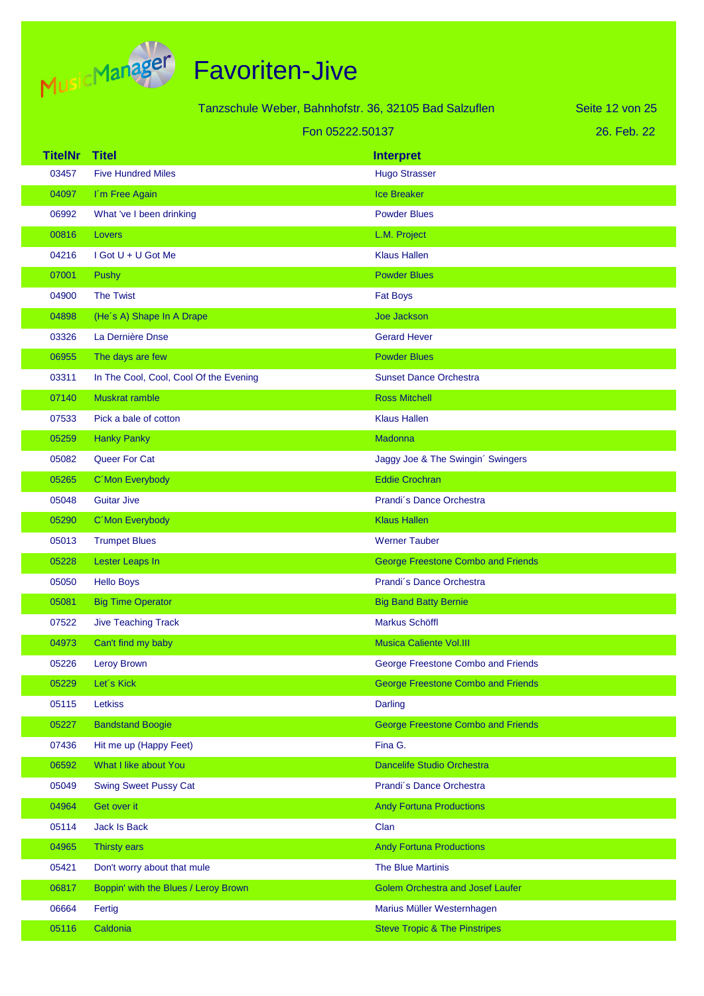

| Tanzschule Weber, Bahnhofstr. 36, 32105 Bad Salzuflen |                                        |                                           | Seite 12 von 25 |
|-------------------------------------------------------|----------------------------------------|-------------------------------------------|-----------------|
| Fon 05222.50137                                       |                                        |                                           | 26. Feb. 22     |
| <b>TitelNr</b>                                        | <b>Titel</b>                           | <b>Interpret</b>                          |                 |
| 03457                                                 | <b>Five Hundred Miles</b>              | <b>Hugo Strasser</b>                      |                 |
| 04097                                                 | I'm Free Again                         | <b>Ice Breaker</b>                        |                 |
| 06992                                                 | What 've I been drinking               | <b>Powder Blues</b>                       |                 |
| 00816                                                 | Lovers                                 | L.M. Project                              |                 |
| 04216                                                 | $I$ Got $U + U$ Got Me                 | <b>Klaus Hallen</b>                       |                 |
| 07001                                                 | Pushy                                  | <b>Powder Blues</b>                       |                 |
| 04900                                                 | <b>The Twist</b>                       | <b>Fat Boys</b>                           |                 |
| 04898                                                 | (He's A) Shape In A Drape              | Joe Jackson                               |                 |
| 03326                                                 | La Dernière Dnse                       | <b>Gerard Hever</b>                       |                 |
| 06955                                                 | The days are few                       | <b>Powder Blues</b>                       |                 |
| 03311                                                 | In The Cool, Cool, Cool Of the Evening | <b>Sunset Dance Orchestra</b>             |                 |
| 07140                                                 | <b>Muskrat ramble</b>                  | <b>Ross Mitchell</b>                      |                 |
| 07533                                                 | Pick a bale of cotton                  | <b>Klaus Hallen</b>                       |                 |
| 05259                                                 | <b>Hanky Panky</b>                     | Madonna                                   |                 |
| 05082                                                 | Queer For Cat                          | Jaggy Joe & The Swingin' Swingers         |                 |
| 05265                                                 | C'Mon Everybody                        | <b>Eddie Crochran</b>                     |                 |
| 05048                                                 | <b>Guitar Jive</b>                     | Prandi's Dance Orchestra                  |                 |
| 05290                                                 | C'Mon Everybody                        | <b>Klaus Hallen</b>                       |                 |
| 05013                                                 | <b>Trumpet Blues</b>                   | <b>Werner Tauber</b>                      |                 |
| 05228                                                 | Lester Leaps In                        | <b>George Freestone Combo and Friends</b> |                 |
| 05050                                                 | <b>Hello Boys</b>                      | Prandi's Dance Orchestra                  |                 |
| 05081                                                 | <b>Big Time Operator</b>               | <b>Big Band Batty Bernie</b>              |                 |
| 07522                                                 | <b>Jive Teaching Track</b>             | <b>Markus Schöffl</b>                     |                 |
| 04973                                                 | Can't find my baby                     | <b>Musica Caliente Vol.III</b>            |                 |
| 05226                                                 | Leroy Brown                            | George Freestone Combo and Friends        |                 |
| 05229                                                 | Let's Kick                             | <b>George Freestone Combo and Friends</b> |                 |
| 05115                                                 | Letkiss                                | Darling                                   |                 |
| 05227                                                 | <b>Bandstand Boogie</b>                | <b>George Freestone Combo and Friends</b> |                 |
| 07436                                                 | Hit me up (Happy Feet)                 | Fina G.                                   |                 |
| 06592                                                 | What I like about You                  | <b>Dancelife Studio Orchestra</b>         |                 |
| 05049                                                 | <b>Swing Sweet Pussy Cat</b>           | Prandi's Dance Orchestra                  |                 |
| 04964                                                 | Get over it                            | <b>Andy Fortuna Productions</b>           |                 |
| 05114                                                 | <b>Jack Is Back</b>                    | Clan                                      |                 |
| 04965                                                 | Thirsty ears                           | <b>Andy Fortuna Productions</b>           |                 |
| 05421                                                 | Don't worry about that mule            | The Blue Martinis                         |                 |
| 06817                                                 | Boppin' with the Blues / Leroy Brown   | <b>Golem Orchestra and Josef Laufer</b>   |                 |
| 06664                                                 | Fertig                                 | Marius Müller Westernhagen                |                 |
| 05116                                                 | Caldonia                               | <b>Steve Tropic &amp; The Pinstripes</b>  |                 |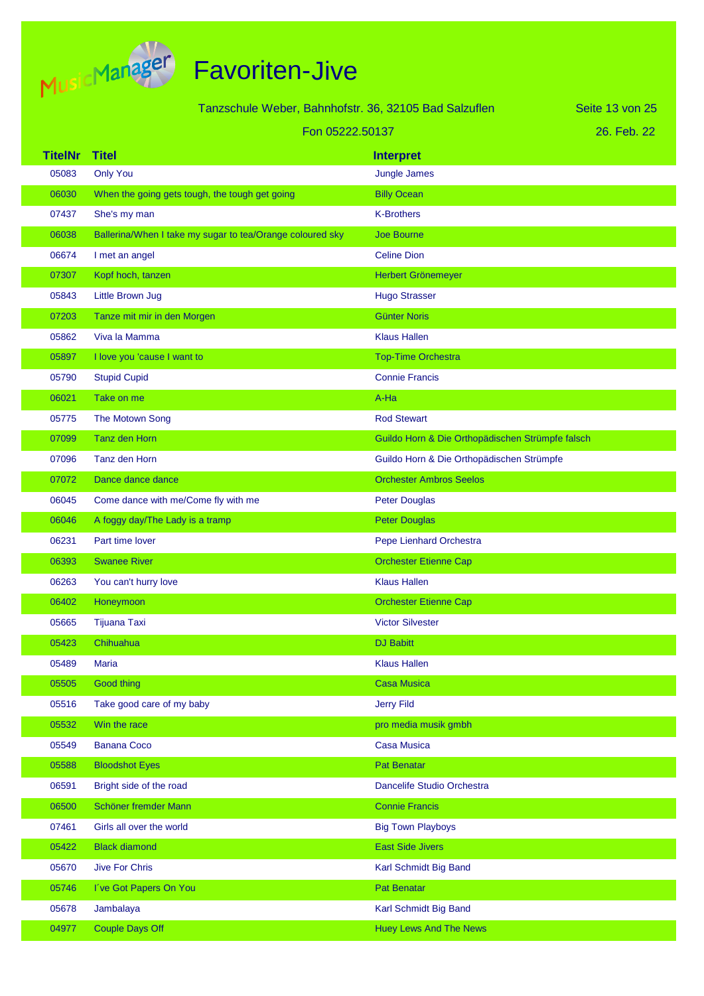

|                | Tanzschule Weber, Bahnhofstr. 36, 32105 Bad Salzuflen     |                                                     | Seite 13 von 25 |
|----------------|-----------------------------------------------------------|-----------------------------------------------------|-----------------|
|                | Fon 05222.50137                                           |                                                     | 26. Feb. 22     |
| <b>TitelNr</b> | <b>Titel</b>                                              | <b>Interpret</b>                                    |                 |
| 05083          | <b>Only You</b>                                           | Jungle James                                        |                 |
| 06030          | When the going gets tough, the tough get going            | <b>Billy Ocean</b>                                  |                 |
| 07437          | She's my man                                              | <b>K-Brothers</b>                                   |                 |
| 06038          | Ballerina/When I take my sugar to tea/Orange coloured sky | <b>Joe Bourne</b>                                   |                 |
| 06674          | I met an angel                                            | <b>Celine Dion</b>                                  |                 |
| 07307          | Kopf hoch, tanzen                                         | Herbert Grönemeyer                                  |                 |
| 05843          | <b>Little Brown Jug</b>                                   | <b>Hugo Strasser</b>                                |                 |
| 07203          | Tanze mit mir in den Morgen                               | <b>Günter Noris</b>                                 |                 |
| 05862          | Viva la Mamma                                             | <b>Klaus Hallen</b>                                 |                 |
| 05897          | I love you 'cause I want to                               | <b>Top-Time Orchestra</b>                           |                 |
| 05790          | <b>Stupid Cupid</b>                                       | <b>Connie Francis</b>                               |                 |
| 06021          | Take on me                                                | A-Ha                                                |                 |
| 05775          | The Motown Song                                           | <b>Rod Stewart</b>                                  |                 |
| 07099          | Tanz den Horn                                             | Guildo Horn & Die Orthopädischen Strümpfe falsch    |                 |
| 07096          | Tanz den Horn                                             | Guildo Horn & Die Orthopädischen Strümpfe           |                 |
| 07072          | Dance dance dance                                         | <b>Orchester Ambros Seelos</b>                      |                 |
| 06045          | Come dance with me/Come fly with me                       | <b>Peter Douglas</b>                                |                 |
| 06046          | A foggy day/The Lady is a tramp                           | <b>Peter Douglas</b>                                |                 |
| 06231          | Part time lover                                           | Pepe Lienhard Orchestra                             |                 |
| 06393          | <b>Swanee River</b>                                       | <b>Orchester Etienne Cap</b>                        |                 |
| 06263          | You can't hurry love                                      | <b>Klaus Hallen</b>                                 |                 |
| 06402          | Honeymoon                                                 | <b>Orchester Etienne Cap</b>                        |                 |
| 05665          | Tijuana Taxi                                              | <b>Victor Silvester</b>                             |                 |
| 05423          | Chihuahua                                                 | <b>DJ Babitt</b>                                    |                 |
| 05489          | Maria                                                     | <b>Klaus Hallen</b>                                 |                 |
| 05505          | <b>Good thing</b>                                         | <b>Casa Musica</b>                                  |                 |
| 05516          | Take good care of my baby                                 | <b>Jerry Fild</b>                                   |                 |
| 05532          | Win the race                                              | pro media musik gmbh                                |                 |
| 05549          | <b>Banana Coco</b>                                        | <b>Casa Musica</b>                                  |                 |
| 05588          | <b>Bloodshot Eyes</b>                                     | <b>Pat Benatar</b>                                  |                 |
| 06591<br>06500 | Bright side of the road<br>Schöner fremder Mann           | Dancelife Studio Orchestra<br><b>Connie Francis</b> |                 |
| 07461          | Girls all over the world                                  | <b>Big Town Playboys</b>                            |                 |
| 05422          | <b>Black diamond</b>                                      | <b>East Side Jivers</b>                             |                 |
| 05670          | <b>Jive For Chris</b>                                     | Karl Schmidt Big Band                               |                 |
| 05746          | I've Got Papers On You                                    | <b>Pat Benatar</b>                                  |                 |
| 05678          | Jambalaya                                                 | Karl Schmidt Big Band                               |                 |
| 04977          | <b>Couple Days Off</b>                                    | <b>Huey Lews And The News</b>                       |                 |
|                |                                                           |                                                     |                 |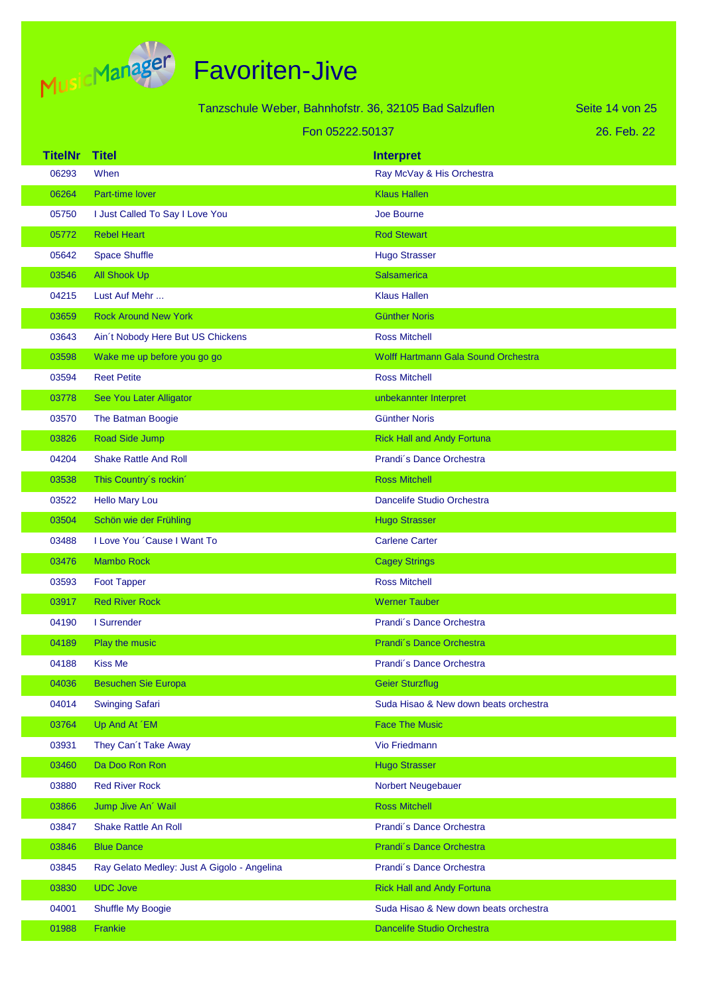

|                |                                             | Tanzschule Weber, Bahnhofstr. 36, 32105 Bad Salzuflen | Seite 14 von 25 |
|----------------|---------------------------------------------|-------------------------------------------------------|-----------------|
|                |                                             | Fon 05222.50137                                       | 26. Feb. 22     |
| <b>TitelNr</b> | <b>Titel</b>                                |                                                       |                 |
| 06293          | When                                        | <b>Interpret</b><br>Ray McVay & His Orchestra         |                 |
| 06264          | Part-time lover                             | <b>Klaus Hallen</b>                                   |                 |
| 05750          | I Just Called To Say I Love You             | Joe Bourne                                            |                 |
| 05772          | <b>Rebel Heart</b>                          | <b>Rod Stewart</b>                                    |                 |
| 05642          | <b>Space Shuffle</b>                        | <b>Hugo Strasser</b>                                  |                 |
| 03546          | <b>All Shook Up</b>                         | <b>Salsamerica</b>                                    |                 |
| 04215          | Lust Auf Mehr                               | <b>Klaus Hallen</b>                                   |                 |
| 03659          | <b>Rock Around New York</b>                 | <b>Günther Noris</b>                                  |                 |
| 03643          | Ain't Nobody Here But US Chickens           | <b>Ross Mitchell</b>                                  |                 |
| 03598          | Wake me up before you go go                 | Wolff Hartmann Gala Sound Orchestra                   |                 |
| 03594          | <b>Reet Petite</b>                          | <b>Ross Mitchell</b>                                  |                 |
| 03778          | See You Later Alligator                     | unbekannter Interpret                                 |                 |
| 03570          | The Batman Boogie                           | <b>Günther Noris</b>                                  |                 |
| 03826          | Road Side Jump                              | <b>Rick Hall and Andy Fortuna</b>                     |                 |
| 04204          | <b>Shake Rattle And Roll</b>                | Prandi's Dance Orchestra                              |                 |
| 03538          | This Country's rockin'                      | <b>Ross Mitchell</b>                                  |                 |
| 03522          | <b>Hello Mary Lou</b>                       | Dancelife Studio Orchestra                            |                 |
| 03504          | Schön wie der Frühling                      | <b>Hugo Strasser</b>                                  |                 |
| 03488          | I Love You 'Cause I Want To                 | <b>Carlene Carter</b>                                 |                 |
| 03476          | <b>Mambo Rock</b>                           | <b>Cagey Strings</b>                                  |                 |
| 03593          | <b>Foot Tapper</b>                          | <b>Ross Mitchell</b>                                  |                 |
| 03917          | <b>Red River Rock</b>                       | <b>Werner Tauber</b>                                  |                 |
| 04190          | I Surrender                                 | Prandi's Dance Orchestra                              |                 |
| 04189          | Play the music                              | Prandi's Dance Orchestra                              |                 |
| 04188          | <b>Kiss Me</b>                              | Prandi's Dance Orchestra                              |                 |
| 04036          | <b>Besuchen Sie Europa</b>                  | <b>Geier Sturzflug</b>                                |                 |
| 04014          | <b>Swinging Safari</b>                      | Suda Hisao & New down beats orchestra                 |                 |
| 03764          | Up And At 'EM                               | <b>Face The Music</b>                                 |                 |
| 03931          | They Can't Take Away                        | Vio Friedmann                                         |                 |
| 03460          | Da Doo Ron Ron                              | <b>Hugo Strasser</b>                                  |                 |
| 03880          | <b>Red River Rock</b>                       | Norbert Neugebauer                                    |                 |
| 03866          | Jump Jive An' Wail                          | <b>Ross Mitchell</b>                                  |                 |
| 03847          | <b>Shake Rattle An Roll</b>                 | Prandi's Dance Orchestra                              |                 |
| 03846          | <b>Blue Dance</b>                           | Prandi's Dance Orchestra                              |                 |
| 03845          | Ray Gelato Medley: Just A Gigolo - Angelina | Prandi's Dance Orchestra                              |                 |
| 03830          | <b>UDC Jove</b>                             | <b>Rick Hall and Andy Fortuna</b>                     |                 |
| 04001          | Shuffle My Boogie                           | Suda Hisao & New down beats orchestra                 |                 |
| 01988          | Frankie                                     | Dancelife Studio Orchestra                            |                 |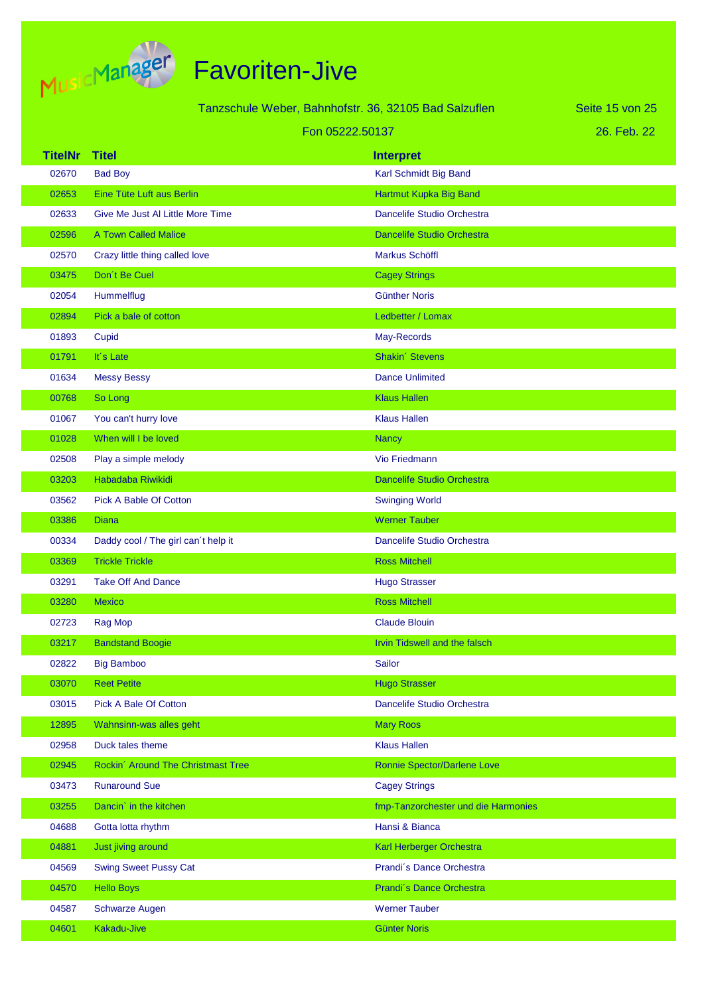

| Tanzschule Weber, Bahnhofstr. 36, 32105 Bad Salzuflen |                                     |                                     | Seite 15 von 25 |
|-------------------------------------------------------|-------------------------------------|-------------------------------------|-----------------|
| Fon 05222.50137                                       |                                     |                                     | 26. Feb. 22     |
| <b>TitelNr</b>                                        | <b>Titel</b>                        | <b>Interpret</b>                    |                 |
| 02670                                                 | <b>Bad Boy</b>                      | Karl Schmidt Big Band               |                 |
| 02653                                                 | Eine Tüte Luft aus Berlin           | Hartmut Kupka Big Band              |                 |
| 02633                                                 | Give Me Just Al Little More Time    | Dancelife Studio Orchestra          |                 |
| 02596                                                 | A Town Called Malice                | <b>Dancelife Studio Orchestra</b>   |                 |
| 02570                                                 | Crazy little thing called love      | <b>Markus Schöffl</b>               |                 |
| 03475                                                 | Don't Be Cuel                       | <b>Cagey Strings</b>                |                 |
| 02054                                                 | Hummelflug                          | <b>Günther Noris</b>                |                 |
| 02894                                                 | Pick a bale of cotton               | Ledbetter / Lomax                   |                 |
| 01893                                                 | Cupid                               | May-Records                         |                 |
| 01791                                                 | It's Late                           | Shakin' Stevens                     |                 |
| 01634                                                 | <b>Messy Bessy</b>                  | <b>Dance Unlimited</b>              |                 |
| 00768                                                 | So Long                             | <b>Klaus Hallen</b>                 |                 |
| 01067                                                 | You can't hurry love                | <b>Klaus Hallen</b>                 |                 |
| 01028                                                 | When will I be loved                | <b>Nancy</b>                        |                 |
| 02508                                                 | Play a simple melody                | Vio Friedmann                       |                 |
| 03203                                                 | Habadaba Riwikidi                   | <b>Dancelife Studio Orchestra</b>   |                 |
| 03562                                                 | Pick A Bable Of Cotton              | <b>Swinging World</b>               |                 |
| 03386                                                 | <b>Diana</b>                        | <b>Werner Tauber</b>                |                 |
| 00334                                                 | Daddy cool / The girl can't help it | Dancelife Studio Orchestra          |                 |
| 03369                                                 | <b>Trickle Trickle</b>              | <b>Ross Mitchell</b>                |                 |
| 03291                                                 | <b>Take Off And Dance</b>           | <b>Hugo Strasser</b>                |                 |
| 03280                                                 | <b>Mexico</b>                       | <b>Ross Mitchell</b>                |                 |
| 02723                                                 | Rag Mop                             | <b>Claude Blouin</b>                |                 |
| 03217                                                 | <b>Bandstand Boogie</b>             | Irvin Tidswell and the falsch       |                 |
| 02822                                                 | <b>Big Bamboo</b>                   | Sailor                              |                 |
| 03070                                                 | <b>Reet Petite</b>                  | <b>Hugo Strasser</b>                |                 |
| 03015                                                 | Pick A Bale Of Cotton               | Dancelife Studio Orchestra          |                 |
| 12895                                                 | Wahnsinn-was alles geht             | <b>Mary Roos</b>                    |                 |
| 02958                                                 | Duck tales theme                    | <b>Klaus Hallen</b>                 |                 |
| 02945                                                 | Rockin' Around The Christmast Tree  | Ronnie Spector/Darlene Love         |                 |
| 03473                                                 | <b>Runaround Sue</b>                | <b>Cagey Strings</b>                |                 |
| 03255                                                 | Dancin' in the kitchen              | fmp-Tanzorchester und die Harmonies |                 |
| 04688                                                 | Gotta lotta rhythm                  | Hansi & Bianca                      |                 |
| 04881                                                 | Just jiving around                  | Karl Herberger Orchestra            |                 |
| 04569                                                 | <b>Swing Sweet Pussy Cat</b>        | Prandi's Dance Orchestra            |                 |
| 04570                                                 | <b>Hello Boys</b>                   | Prandi's Dance Orchestra            |                 |
| 04587                                                 | <b>Schwarze Augen</b>               | <b>Werner Tauber</b>                |                 |
| 04601                                                 | Kakadu-Jive                         | <b>Günter Noris</b>                 |                 |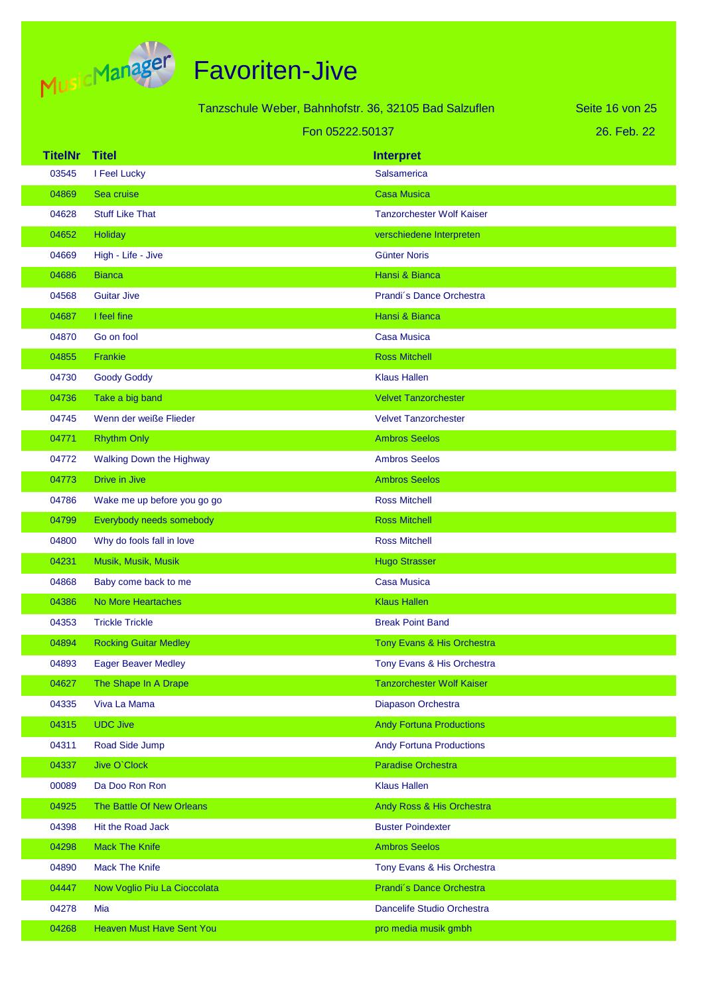

| Tanzschule Weber, Bahnhofstr. 36, 32105 Bad Salzuflen |                                  |                                  | Seite 16 von 25 |
|-------------------------------------------------------|----------------------------------|----------------------------------|-----------------|
| Fon 05222.50137                                       |                                  |                                  | 26. Feb. 22     |
| <b>TitelNr</b>                                        | <b>Titel</b>                     | <b>Interpret</b>                 |                 |
| 03545                                                 | I Feel Lucky                     | <b>Salsamerica</b>               |                 |
| 04869                                                 | Sea cruise                       | <b>Casa Musica</b>               |                 |
| 04628                                                 | <b>Stuff Like That</b>           | <b>Tanzorchester Wolf Kaiser</b> |                 |
| 04652                                                 | Holiday                          | verschiedene Interpreten         |                 |
| 04669                                                 | High - Life - Jive               | <b>Günter Noris</b>              |                 |
| 04686                                                 | <b>Bianca</b>                    | Hansi & Bianca                   |                 |
| 04568                                                 | <b>Guitar Jive</b>               | Prandi's Dance Orchestra         |                 |
| 04687                                                 | I feel fine                      | Hansi & Bianca                   |                 |
| 04870                                                 | Go on fool                       | <b>Casa Musica</b>               |                 |
| 04855                                                 | Frankie                          | <b>Ross Mitchell</b>             |                 |
| 04730                                                 | <b>Goody Goddy</b>               | <b>Klaus Hallen</b>              |                 |
| 04736                                                 | Take a big band                  | <b>Velvet Tanzorchester</b>      |                 |
| 04745                                                 | Wenn der weiße Flieder           | <b>Velvet Tanzorchester</b>      |                 |
| 04771                                                 | <b>Rhythm Only</b>               | <b>Ambros Seelos</b>             |                 |
| 04772                                                 | <b>Walking Down the Highway</b>  | <b>Ambros Seelos</b>             |                 |
| 04773                                                 | Drive in Jive                    | <b>Ambros Seelos</b>             |                 |
| 04786                                                 | Wake me up before you go go      | <b>Ross Mitchell</b>             |                 |
| 04799                                                 | Everybody needs somebody         | <b>Ross Mitchell</b>             |                 |
| 04800                                                 | Why do fools fall in love        | <b>Ross Mitchell</b>             |                 |
| 04231                                                 | Musik, Musik, Musik              | <b>Hugo Strasser</b>             |                 |
| 04868                                                 | Baby come back to me             | <b>Casa Musica</b>               |                 |
| 04386                                                 | No More Heartaches               | <b>Klaus Hallen</b>              |                 |
| 04353                                                 | <b>Trickle Trickle</b>           | <b>Break Point Band</b>          |                 |
| 04894                                                 | <b>Rocking Guitar Medley</b>     | Tony Evans & His Orchestra       |                 |
| 04893                                                 | <b>Eager Beaver Medley</b>       | Tony Evans & His Orchestra       |                 |
| 04627                                                 | The Shape In A Drape             | <b>Tanzorchester Wolf Kaiser</b> |                 |
| 04335                                                 | Viva La Mama                     | Diapason Orchestra               |                 |
| 04315                                                 | <b>UDC Jive</b>                  | <b>Andy Fortuna Productions</b>  |                 |
| 04311                                                 | Road Side Jump                   | <b>Andy Fortuna Productions</b>  |                 |
| 04337                                                 | Jive O'Clock                     | Paradise Orchestra               |                 |
| 00089                                                 | Da Doo Ron Ron                   | <b>Klaus Hallen</b>              |                 |
| 04925                                                 | The Battle Of New Orleans        | Andy Ross & His Orchestra        |                 |
| 04398                                                 | Hit the Road Jack                | <b>Buster Poindexter</b>         |                 |
| 04298                                                 | <b>Mack The Knife</b>            | <b>Ambros Seelos</b>             |                 |
| 04890                                                 | <b>Mack The Knife</b>            | Tony Evans & His Orchestra       |                 |
| 04447                                                 | Now Voglio Piu La Cioccolata     | Prandi's Dance Orchestra         |                 |
| 04278                                                 | Mia                              | Dancelife Studio Orchestra       |                 |
| 04268                                                 | <b>Heaven Must Have Sent You</b> | pro media musik gmbh             |                 |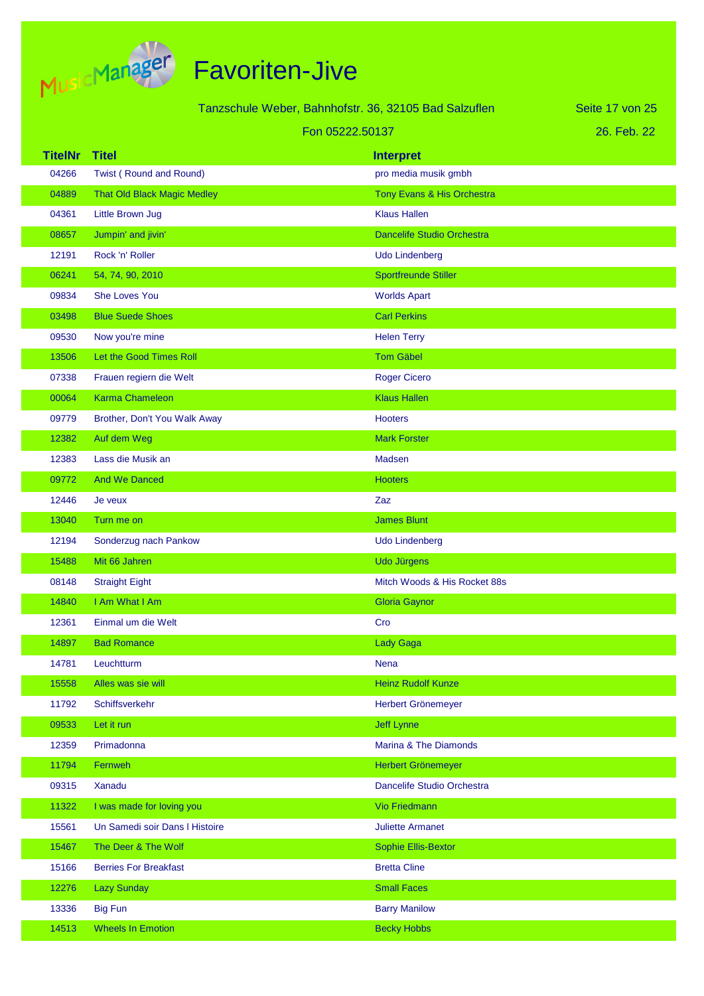

| Tanzschule Weber, Bahnhofstr. 36, 32105 Bad Salzuflen |                                    | Seite 17 von 25                   |             |
|-------------------------------------------------------|------------------------------------|-----------------------------------|-------------|
|                                                       | Fon 05222.50137                    |                                   | 26. Feb. 22 |
| <b>TitelNr</b>                                        | <b>Titel</b>                       | <b>Interpret</b>                  |             |
| 04266                                                 | Twist (Round and Round)            | pro media musik gmbh              |             |
| 04889                                                 | <b>That Old Black Magic Medley</b> | Tony Evans & His Orchestra        |             |
| 04361                                                 | Little Brown Jug                   | <b>Klaus Hallen</b>               |             |
| 08657                                                 | Jumpin' and jivin'                 | <b>Dancelife Studio Orchestra</b> |             |
| 12191                                                 | Rock 'n' Roller                    | <b>Udo Lindenberg</b>             |             |
| 06241                                                 | 54, 74, 90, 2010                   | <b>Sportfreunde Stiller</b>       |             |
| 09834                                                 | She Loves You                      | <b>Worlds Apart</b>               |             |
| 03498                                                 | <b>Blue Suede Shoes</b>            | <b>Carl Perkins</b>               |             |
| 09530                                                 | Now you're mine                    | <b>Helen Terry</b>                |             |
| 13506                                                 | Let the Good Times Roll            | <b>Tom Gäbel</b>                  |             |
| 07338                                                 | Frauen regiern die Welt            | <b>Roger Cicero</b>               |             |
| 00064                                                 | <b>Karma Chameleon</b>             | <b>Klaus Hallen</b>               |             |
| 09779                                                 | Brother, Don't You Walk Away       | <b>Hooters</b>                    |             |
| 12382                                                 | Auf dem Weg                        | <b>Mark Forster</b>               |             |
| 12383                                                 | Lass die Musik an                  | Madsen                            |             |
| 09772                                                 | <b>And We Danced</b>               | <b>Hooters</b>                    |             |
| 12446                                                 | Je veux                            | Zaz                               |             |
| 13040                                                 | Turn me on                         | <b>James Blunt</b>                |             |
| 12194                                                 | Sonderzug nach Pankow              | <b>Udo Lindenberg</b>             |             |
| 15488                                                 | Mit 66 Jahren                      | <b>Udo Jürgens</b>                |             |
| 08148                                                 | <b>Straight Eight</b>              | Mitch Woods & His Rocket 88s      |             |
| 14840                                                 | I Am What I Am                     | <b>Gloria Gaynor</b>              |             |
| 12361                                                 | Einmal um die Welt                 | Cro                               |             |
| 14897                                                 | <b>Bad Romance</b>                 | <b>Lady Gaga</b>                  |             |
| 14781                                                 | Leuchtturm                         | <b>Nena</b>                       |             |
| 15558                                                 | Alles was sie will                 | <b>Heinz Rudolf Kunze</b>         |             |
| 11792                                                 | Schiffsverkehr                     | Herbert Grönemeyer                |             |
| 09533                                                 | Let it run                         | <b>Jeff Lynne</b>                 |             |
| 12359                                                 | Primadonna                         | Marina & The Diamonds             |             |
| 11794                                                 | Fernweh                            | Herbert Grönemeyer                |             |
| 09315                                                 | Xanadu                             | Dancelife Studio Orchestra        |             |
| 11322                                                 | I was made for loving you          | <b>Vio Friedmann</b>              |             |
| 15561                                                 | Un Samedi soir Dans I Histoire     | <b>Juliette Armanet</b>           |             |
| 15467                                                 | The Deer & The Wolf                | <b>Sophie Ellis-Bextor</b>        |             |
| 15166                                                 | <b>Berries For Breakfast</b>       | <b>Bretta Cline</b>               |             |
| 12276                                                 | <b>Lazy Sunday</b>                 | <b>Small Faces</b>                |             |
| 13336                                                 | <b>Big Fun</b>                     | <b>Barry Manilow</b>              |             |
| 14513                                                 | <b>Wheels In Emotion</b>           | <b>Becky Hobbs</b>                |             |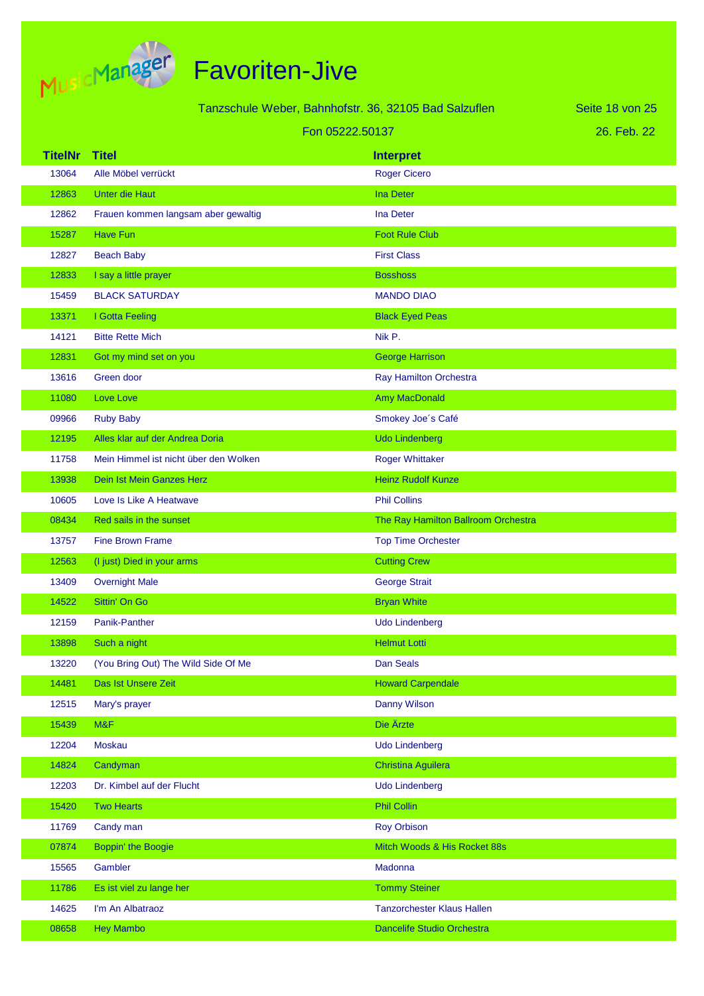

|                |                                       | Tanzschule Weber, Bahnhofstr. 36, 32105 Bad Salzuflen | Seite 18 von 25 |
|----------------|---------------------------------------|-------------------------------------------------------|-----------------|
|                | Fon 05222.50137                       |                                                       | 26. Feb. 22     |
| <b>TitelNr</b> | <b>Titel</b>                          | <b>Interpret</b>                                      |                 |
| 13064          | Alle Möbel verrückt                   | <b>Roger Cicero</b>                                   |                 |
| 12863          | <b>Unter die Haut</b>                 | <b>Ina Deter</b>                                      |                 |
| 12862          | Frauen kommen langsam aber gewaltig   | <b>Ina Deter</b>                                      |                 |
| 15287          | <b>Have Fun</b>                       | <b>Foot Rule Club</b>                                 |                 |
| 12827          | <b>Beach Baby</b>                     | <b>First Class</b>                                    |                 |
| 12833          | I say a little prayer                 | <b>Bosshoss</b>                                       |                 |
| 15459          | <b>BLACK SATURDAY</b>                 | <b>MANDO DIAO</b>                                     |                 |
| 13371          | I Gotta Feeling                       | <b>Black Eyed Peas</b>                                |                 |
| 14121          | <b>Bitte Rette Mich</b>               | Nik P.                                                |                 |
| 12831          | Got my mind set on you                | <b>George Harrison</b>                                |                 |
| 13616          | Green door                            | Ray Hamilton Orchestra                                |                 |
| 11080          | Love Love                             | Amy MacDonald                                         |                 |
| 09966          | <b>Ruby Baby</b>                      | Smokey Joe's Café                                     |                 |
| 12195          | Alles klar auf der Andrea Doria       | <b>Udo Lindenberg</b>                                 |                 |
| 11758          | Mein Himmel ist nicht über den Wolken | <b>Roger Whittaker</b>                                |                 |
| 13938          | Dein Ist Mein Ganzes Herz             | <b>Heinz Rudolf Kunze</b>                             |                 |
| 10605          | Love Is Like A Heatwave               | <b>Phil Collins</b>                                   |                 |
| 08434          | Red sails in the sunset               | The Ray Hamilton Ballroom Orchestra                   |                 |
| 13757          | <b>Fine Brown Frame</b>               | <b>Top Time Orchester</b>                             |                 |
| 12563          | (I just) Died in your arms            | <b>Cutting Crew</b>                                   |                 |
| 13409          | <b>Overnight Male</b>                 | <b>George Strait</b>                                  |                 |
| 14522          | Sittin' On Go                         | <b>Bryan White</b>                                    |                 |
| 12159          | Panik-Panther                         | <b>Udo Lindenberg</b>                                 |                 |
| 13898          | Such a night                          | <b>Helmut Lotti</b>                                   |                 |
| 13220          | (You Bring Out) The Wild Side Of Me   | Dan Seals                                             |                 |
| 14481          | Das Ist Unsere Zeit                   | <b>Howard Carpendale</b>                              |                 |
| 12515          | Mary's prayer                         | <b>Danny Wilson</b>                                   |                 |
| 15439          | M&F                                   | Die Ärzte                                             |                 |
| 12204          | Moskau                                | <b>Udo Lindenberg</b>                                 |                 |
| 14824          | Candyman                              | Christina Aguilera                                    |                 |
| 12203          | Dr. Kimbel auf der Flucht             | <b>Udo Lindenberg</b>                                 |                 |
| 15420          | <b>Two Hearts</b>                     | <b>Phil Collin</b>                                    |                 |
| 11769          | Candy man                             | <b>Roy Orbison</b>                                    |                 |
| 07874          | Boppin' the Boogie                    | Mitch Woods & His Rocket 88s                          |                 |
| 15565          | Gambler                               | Madonna                                               |                 |
| 11786          | Es ist viel zu lange her              | <b>Tommy Steiner</b>                                  |                 |
| 14625          | I'm An Albatraoz                      | <b>Tanzorchester Klaus Hallen</b>                     |                 |
| 08658          | <b>Hey Mambo</b>                      | Dancelife Studio Orchestra                            |                 |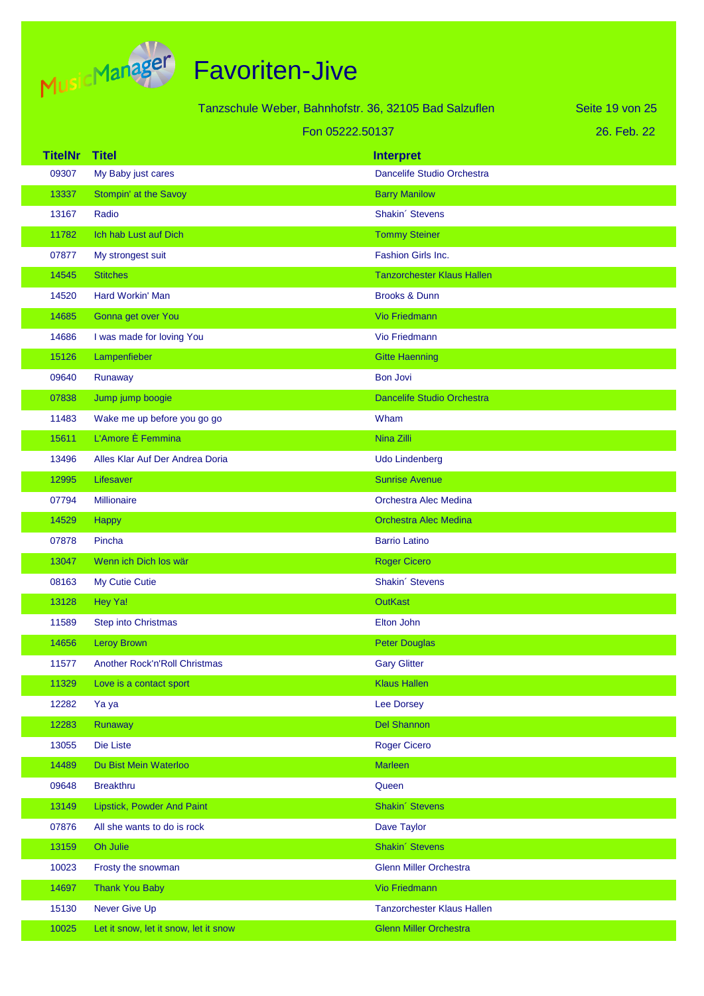

| Tanzschule Weber, Bahnhofstr. 36, 32105 Bad Salzuflen |                                       |                                   | Seite 19 von 25 |
|-------------------------------------------------------|---------------------------------------|-----------------------------------|-----------------|
| Fon 05222.50137                                       |                                       |                                   | 26. Feb. 22     |
| <b>TitelNr</b>                                        | <b>Titel</b>                          | <b>Interpret</b>                  |                 |
| 09307                                                 | My Baby just cares                    | Dancelife Studio Orchestra        |                 |
| 13337                                                 | Stompin' at the Savoy                 | <b>Barry Manilow</b>              |                 |
| 13167                                                 | Radio                                 | Shakin' Stevens                   |                 |
| 11782                                                 | Ich hab Lust auf Dich                 | <b>Tommy Steiner</b>              |                 |
| 07877                                                 | My strongest suit                     | Fashion Girls Inc.                |                 |
| 14545                                                 | <b>Stitches</b>                       | <b>Tanzorchester Klaus Hallen</b> |                 |
| 14520                                                 | Hard Workin' Man                      | <b>Brooks &amp; Dunn</b>          |                 |
| 14685                                                 | Gonna get over You                    | <b>Vio Friedmann</b>              |                 |
| 14686                                                 | I was made for loving You             | Vio Friedmann                     |                 |
| 15126                                                 | Lampenfieber                          | <b>Gitte Haenning</b>             |                 |
| 09640                                                 | Runaway                               | <b>Bon Jovi</b>                   |                 |
| 07838                                                 | Jump jump boogie                      | <b>Dancelife Studio Orchestra</b> |                 |
| 11483                                                 | Wake me up before you go go           | Wham                              |                 |
| 15611                                                 | L'Amore È Femmina                     | Nina Zilli                        |                 |
| 13496                                                 | Alles Klar Auf Der Andrea Doria       | <b>Udo Lindenberg</b>             |                 |
| 12995                                                 | Lifesaver                             | <b>Sunrise Avenue</b>             |                 |
| 07794                                                 | <b>Millionaire</b>                    | <b>Orchestra Alec Medina</b>      |                 |
| 14529                                                 | Happy                                 | <b>Orchestra Alec Medina</b>      |                 |
| 07878                                                 | Pincha                                | <b>Barrio Latino</b>              |                 |
| 13047                                                 | Wenn ich Dich los wär                 | <b>Roger Cicero</b>               |                 |
| 08163                                                 | My Cutie Cutie                        | Shakin' Stevens                   |                 |
| 13128                                                 | Hey Ya!                               | <b>OutKast</b>                    |                 |
| 11589                                                 | Step into Christmas                   | <b>Elton John</b>                 |                 |
| 14656                                                 | <b>Leroy Brown</b>                    | <b>Peter Douglas</b>              |                 |
| 11577                                                 | Another Rock'n'Roll Christmas         | <b>Gary Glitter</b>               |                 |
| 11329                                                 | Love is a contact sport               | <b>Klaus Hallen</b>               |                 |
| 12282                                                 | Ya ya                                 | <b>Lee Dorsey</b>                 |                 |
| 12283                                                 | Runaway                               | <b>Del Shannon</b>                |                 |
| 13055                                                 | Die Liste                             | <b>Roger Cicero</b>               |                 |
| 14489                                                 | Du Bist Mein Waterloo                 | Marleen                           |                 |
| 09648                                                 | <b>Breakthru</b>                      | Queen                             |                 |
| 13149                                                 | <b>Lipstick, Powder And Paint</b>     | Shakin' Stevens                   |                 |
| 07876                                                 | All she wants to do is rock           | Dave Taylor                       |                 |
| 13159                                                 | Oh Julie                              | Shakin' Stevens                   |                 |
| 10023                                                 | Frosty the snowman                    | <b>Glenn Miller Orchestra</b>     |                 |
| 14697                                                 | <b>Thank You Baby</b>                 | Vio Friedmann                     |                 |
| 15130                                                 | Never Give Up                         | <b>Tanzorchester Klaus Hallen</b> |                 |
| 10025                                                 | Let it snow, let it snow, let it snow | <b>Glenn Miller Orchestra</b>     |                 |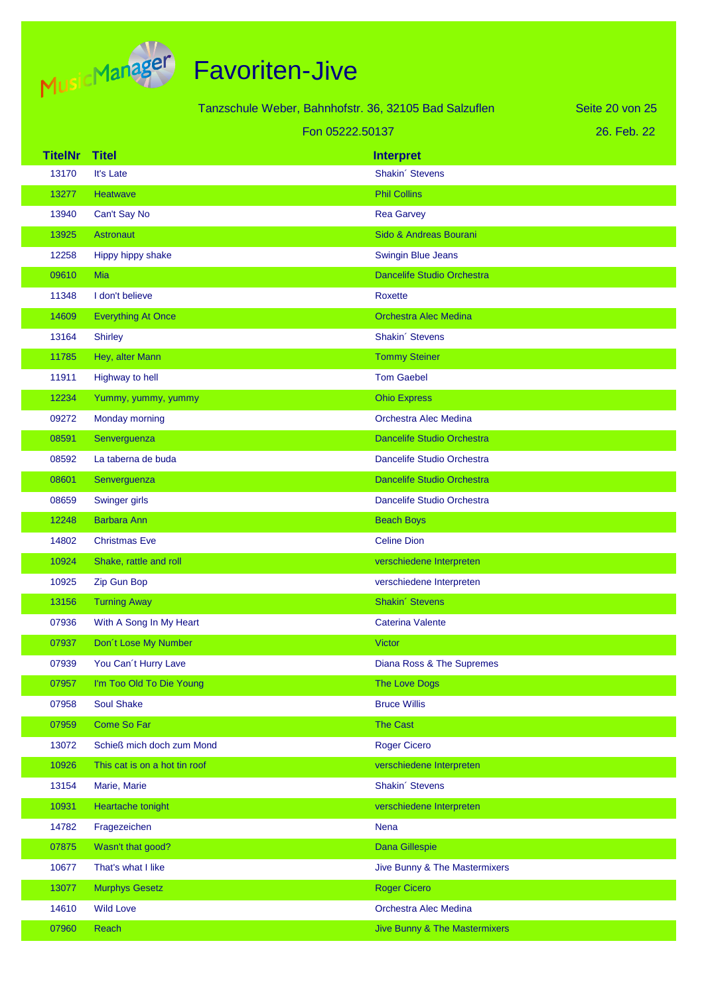

| Tanzschule Weber, Bahnhofstr. 36, 32105 Bad Salzuflen<br>Seite 20 von 25 |                               |                                          |             |
|--------------------------------------------------------------------------|-------------------------------|------------------------------------------|-------------|
|                                                                          |                               | Fon 05222.50137                          | 26. Feb. 22 |
| <b>TitelNr</b>                                                           | <b>Titel</b>                  | <b>Interpret</b>                         |             |
| 13170                                                                    | It's Late                     | Shakin' Stevens                          |             |
| 13277                                                                    | Heatwave                      | <b>Phil Collins</b>                      |             |
| 13940                                                                    | Can't Say No                  | <b>Rea Garvey</b>                        |             |
| 13925                                                                    | <b>Astronaut</b>              | Sido & Andreas Bourani                   |             |
| 12258                                                                    | Hippy hippy shake             | <b>Swingin Blue Jeans</b>                |             |
| 09610                                                                    | Mia                           | Dancelife Studio Orchestra               |             |
| 11348                                                                    | I don't believe               | Roxette                                  |             |
| 14609                                                                    | <b>Everything At Once</b>     | <b>Orchestra Alec Medina</b>             |             |
| 13164                                                                    | <b>Shirley</b>                | Shakin' Stevens                          |             |
| 11785                                                                    | Hey, alter Mann               | <b>Tommy Steiner</b>                     |             |
| 11911                                                                    | Highway to hell               | <b>Tom Gaebel</b>                        |             |
| 12234                                                                    | Yummy, yummy, yummy           | <b>Ohio Express</b>                      |             |
| 09272                                                                    | Monday morning                | <b>Orchestra Alec Medina</b>             |             |
| 08591                                                                    | Senverguenza                  | Dancelife Studio Orchestra               |             |
| 08592                                                                    | La taberna de buda            | Dancelife Studio Orchestra               |             |
| 08601                                                                    | Senverguenza                  | Dancelife Studio Orchestra               |             |
| 08659                                                                    | Swinger girls                 | Dancelife Studio Orchestra               |             |
| 12248                                                                    | <b>Barbara Ann</b>            | <b>Beach Boys</b>                        |             |
| 14802                                                                    | <b>Christmas Eve</b>          | <b>Celine Dion</b>                       |             |
| 10924                                                                    | Shake, rattle and roll        | verschiedene Interpreten                 |             |
| 10925                                                                    | Zip Gun Bop                   | verschiedene Interpreten                 |             |
| 13156                                                                    | <b>Turning Away</b>           | Shakin' Stevens                          |             |
| 07936                                                                    | With A Song In My Heart       | <b>Caterina Valente</b>                  |             |
| 07937                                                                    | Don't Lose My Number          | <b>Victor</b>                            |             |
| 07939                                                                    | You Can't Hurry Lave          | Diana Ross & The Supremes                |             |
| 07957                                                                    | I'm Too Old To Die Young      | <b>The Love Dogs</b>                     |             |
| 07958                                                                    | <b>Soul Shake</b>             | <b>Bruce Willis</b>                      |             |
| 07959                                                                    | Come So Far                   | <b>The Cast</b>                          |             |
| 13072                                                                    | Schieß mich doch zum Mond     | <b>Roger Cicero</b>                      |             |
| 10926                                                                    | This cat is on a hot tin roof | verschiedene Interpreten                 |             |
| 13154                                                                    | Marie, Marie                  | Shakin' Stevens                          |             |
| 10931                                                                    | Heartache tonight             | verschiedene Interpreten                 |             |
| 14782                                                                    | Fragezeichen                  | <b>Nena</b>                              |             |
| 07875                                                                    | Wasn't that good?             | Dana Gillespie                           |             |
| 10677                                                                    | That's what I like            | Jive Bunny & The Mastermixers            |             |
| 13077                                                                    | <b>Murphys Gesetz</b>         | <b>Roger Cicero</b>                      |             |
| 14610                                                                    | <b>Wild Love</b>              | Orchestra Alec Medina                    |             |
| 07960                                                                    | Reach                         | <b>Jive Bunny &amp; The Mastermixers</b> |             |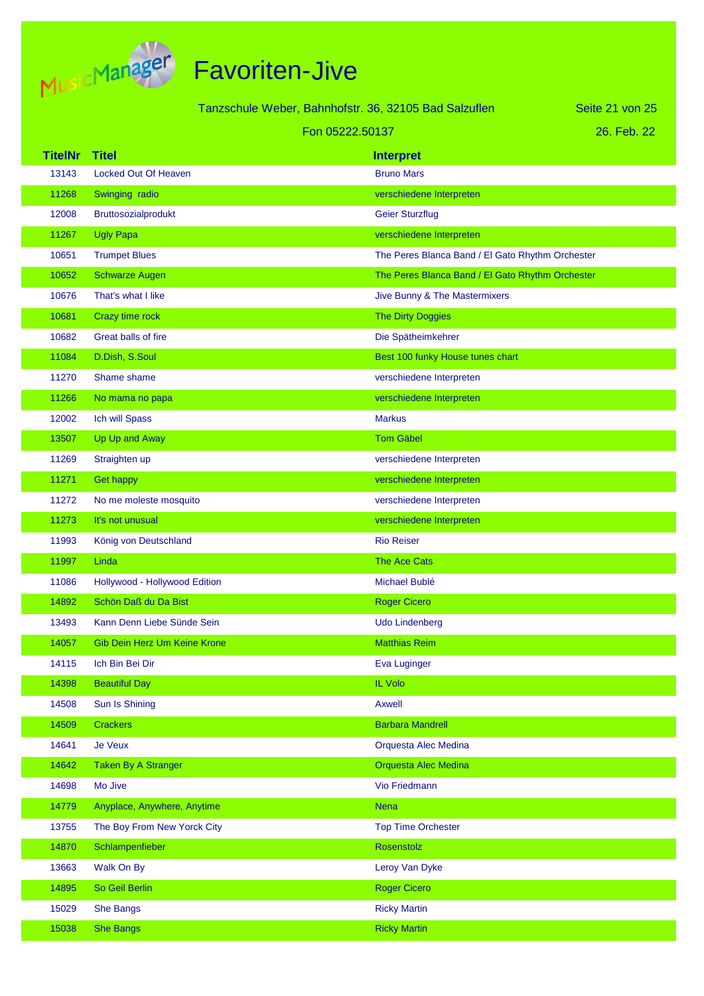

Tanzschule Weber, Bahnhofstr. 36, 32105 Bad Salzuflen

Seite 21 von 25

| Fon 05222.50137 |  |  |  |  |
|-----------------|--|--|--|--|
|-----------------|--|--|--|--|

| <b>TitelNr</b> | <b>Titel</b>                  | <b>Interpret</b>                                 |
|----------------|-------------------------------|--------------------------------------------------|
| 13143          | Locked Out Of Heaven          | <b>Bruno Mars</b>                                |
| 11268          | Swinging radio                | verschiedene Interpreten                         |
| 12008          | Bruttosozialprodukt           | <b>Geier Sturzflug</b>                           |
| 11267          | <b>Ugly Papa</b>              | verschiedene Interpreten                         |
| 10651          | <b>Trumpet Blues</b>          | The Peres Blanca Band / El Gato Rhythm Orchester |
| 10652          | <b>Schwarze Augen</b>         | The Peres Blanca Band / El Gato Rhythm Orchester |
| 10676          | That's what I like            | Jive Bunny & The Mastermixers                    |
| 10681          | Crazy time rock               | <b>The Dirty Doggies</b>                         |
| 10682          | Great balls of fire           | Die Spätheimkehrer                               |
| 11084          | D.Dish, S.Soul                | Best 100 funky House tunes chart                 |
| 11270          | Shame shame                   | verschiedene Interpreten                         |
| 11266          | No mama no papa               | verschiedene Interpreten                         |
| 12002          | Ich will Spass                | <b>Markus</b>                                    |
| 13507          | Up Up and Away                | <b>Tom Gäbel</b>                                 |
| 11269          | Straighten up                 | verschiedene Interpreten                         |
| 11271          | <b>Get happy</b>              | verschiedene Interpreten                         |
| 11272          | No me moleste mosquito        | verschiedene Interpreten                         |
| 11273          | It's not unusual              | verschiedene Interpreten                         |
| 11993          | König von Deutschland         | <b>Rio Reiser</b>                                |
| 11997          | Linda                         | <b>The Ace Cats</b>                              |
| 11086          | Hollywood - Hollywood Edition | Michael Bublé                                    |
| 14892          | Schön Daß du Da Bist          | <b>Roger Cicero</b>                              |
| 13493          | Kann Denn Liebe Sünde Sein    | <b>Udo Lindenberg</b>                            |
| 14057          | Gib Dein Herz Um Keine Krone  | <b>Matthias Reim</b>                             |
| 14115          | Ich Bin Bei Dir               | Eva Luginger                                     |
| 14398          | <b>Beautiful Day</b>          | IL Volo                                          |
| 14508          | Sun Is Shining                | <b>Axwell</b>                                    |
| 14509          | <b>Crackers</b>               | <b>Barbara Mandrell</b>                          |
| 14641          | <b>Je Veux</b>                | Orquesta Alec Medina                             |
| 14642          | <b>Taken By A Stranger</b>    | Orquesta Alec Medina                             |
| 14698          | Mo Jive                       | Vio Friedmann                                    |
| 14779          | Anyplace, Anywhere, Anytime   | <b>Nena</b>                                      |
| 13755          | The Boy From New Yorck City   | <b>Top Time Orchester</b>                        |
| 14870          | Schlampenfieber               | Rosenstolz                                       |
| 13663          | Walk On By                    | Leroy Van Dyke                                   |
| 14895          | So Geil Berlin                | <b>Roger Cicero</b>                              |
| 15029          | <b>She Bangs</b>              | <b>Ricky Martin</b>                              |
| 15038          | <b>She Bangs</b>              | <b>Ricky Martin</b>                              |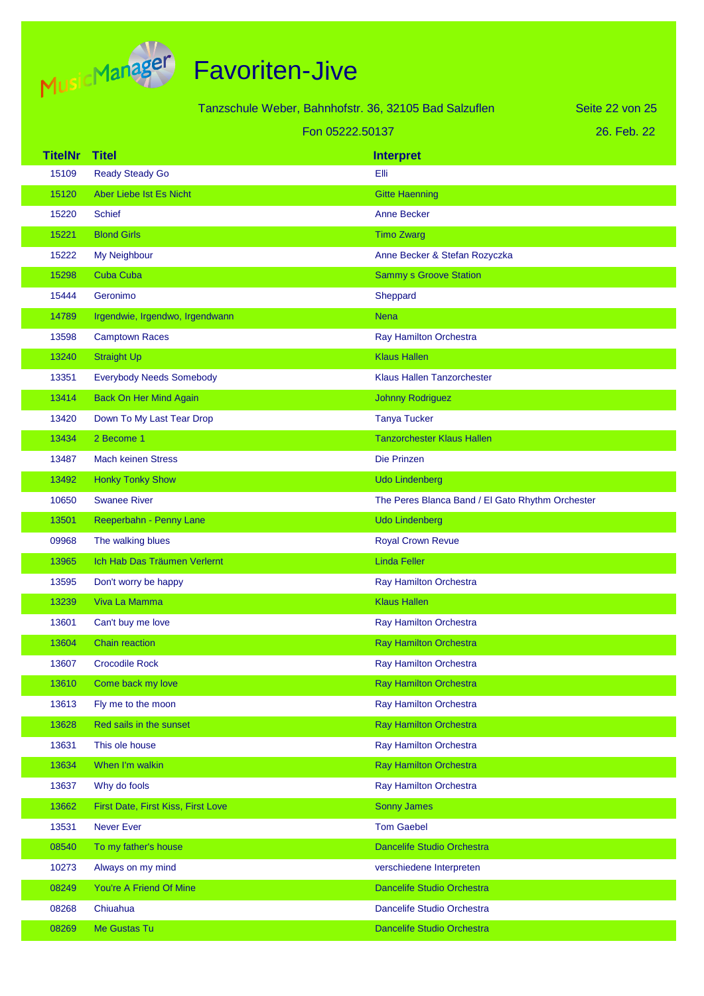

|                | Tanzschule Weber, Bahnhofstr. 36, 32105 Bad Salzuflen |                                                  | Seite 22 von 25 |
|----------------|-------------------------------------------------------|--------------------------------------------------|-----------------|
|                | Fon 05222.50137                                       |                                                  | 26. Feb. 22     |
| <b>TitelNr</b> | <b>Titel</b>                                          | <b>Interpret</b>                                 |                 |
| 15109          | <b>Ready Steady Go</b>                                | Elli                                             |                 |
| 15120          | Aber Liebe Ist Es Nicht                               | <b>Gitte Haenning</b>                            |                 |
| 15220          | <b>Schief</b>                                         | <b>Anne Becker</b>                               |                 |
| 15221          | <b>Blond Girls</b>                                    | <b>Timo Zwarg</b>                                |                 |
| 15222          | My Neighbour                                          | Anne Becker & Stefan Rozyczka                    |                 |
| 15298          | <b>Cuba Cuba</b>                                      | <b>Sammy s Groove Station</b>                    |                 |
| 15444          | Geronimo                                              | Sheppard                                         |                 |
| 14789          | Irgendwie, Irgendwo, Irgendwann                       | <b>Nena</b>                                      |                 |
| 13598          | <b>Camptown Races</b>                                 | Ray Hamilton Orchestra                           |                 |
| 13240          | <b>Straight Up</b>                                    | <b>Klaus Hallen</b>                              |                 |
| 13351          | <b>Everybody Needs Somebody</b>                       | <b>Klaus Hallen Tanzorchester</b>                |                 |
| 13414          | <b>Back On Her Mind Again</b>                         | <b>Johnny Rodriguez</b>                          |                 |
| 13420          | Down To My Last Tear Drop                             | <b>Tanya Tucker</b>                              |                 |
| 13434          | 2 Become 1                                            | <b>Tanzorchester Klaus Hallen</b>                |                 |
| 13487          | <b>Mach keinen Stress</b>                             | Die Prinzen                                      |                 |
| 13492          | <b>Honky Tonky Show</b>                               | <b>Udo Lindenberg</b>                            |                 |
| 10650          | <b>Swanee River</b>                                   | The Peres Blanca Band / El Gato Rhythm Orchester |                 |
| 13501          | Reeperbahn - Penny Lane                               | <b>Udo Lindenberg</b>                            |                 |
| 09968          | The walking blues                                     | <b>Royal Crown Revue</b>                         |                 |
| 13965          | Ich Hab Das Träumen Verlernt                          | <b>Linda Feller</b>                              |                 |
| 13595          | Don't worry be happy                                  | Ray Hamilton Orchestra                           |                 |
| 13239          | Viva La Mamma                                         | <b>Klaus Hallen</b>                              |                 |
| 13601          | Can't buy me love                                     | Ray Hamilton Orchestra                           |                 |
| 13604          | Chain reaction                                        | <b>Ray Hamilton Orchestra</b>                    |                 |
| 13607          | <b>Crocodile Rock</b>                                 | Ray Hamilton Orchestra                           |                 |
| 13610          | Come back my love                                     | <b>Ray Hamilton Orchestra</b>                    |                 |
| 13613          | Fly me to the moon                                    | Ray Hamilton Orchestra                           |                 |
| 13628          | Red sails in the sunset                               | <b>Ray Hamilton Orchestra</b>                    |                 |
| 13631          | This ole house                                        | <b>Ray Hamilton Orchestra</b>                    |                 |
| 13634          | When I'm walkin                                       | <b>Ray Hamilton Orchestra</b>                    |                 |
| 13637          | Why do fools                                          | Ray Hamilton Orchestra                           |                 |
| 13662          | First Date, First Kiss, First Love                    | <b>Sonny James</b>                               |                 |
| 13531          | Never Ever                                            | <b>Tom Gaebel</b>                                |                 |
| 08540          | To my father's house                                  | Dancelife Studio Orchestra                       |                 |
| 10273          | Always on my mind                                     | verschiedene Interpreten                         |                 |
| 08249          | You're A Friend Of Mine                               | Dancelife Studio Orchestra                       |                 |
| 08268          | Chiuahua                                              | Dancelife Studio Orchestra                       |                 |
| 08269          | Me Gustas Tu                                          | Dancelife Studio Orchestra                       |                 |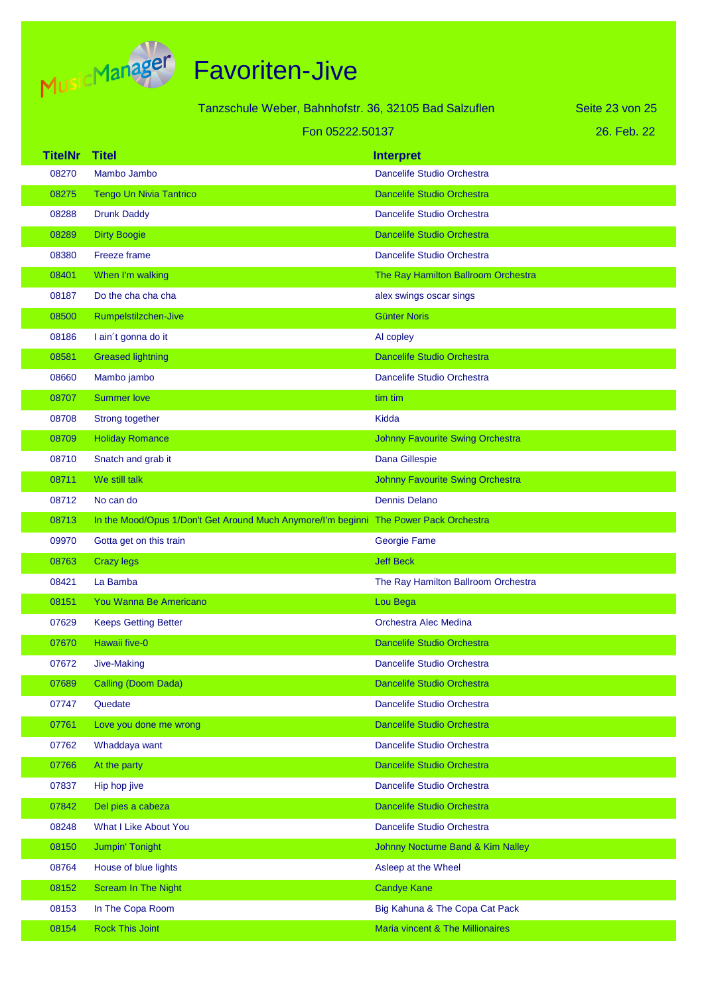

|                | Tanzschule Weber, Bahnhofstr. 36, 32105 Bad Salzuflen                                 |                                         | Seite 23 von 25 |
|----------------|---------------------------------------------------------------------------------------|-----------------------------------------|-----------------|
|                | Fon 05222.50137                                                                       |                                         | 26. Feb. 22     |
| <b>TitelNr</b> | <b>Titel</b>                                                                          | <b>Interpret</b>                        |                 |
| 08270          | Mambo Jambo                                                                           | Dancelife Studio Orchestra              |                 |
| 08275          | <b>Tengo Un Nivia Tantrico</b>                                                        | <b>Dancelife Studio Orchestra</b>       |                 |
| 08288          | <b>Drunk Daddy</b>                                                                    | Dancelife Studio Orchestra              |                 |
| 08289          | <b>Dirty Boogie</b>                                                                   | <b>Dancelife Studio Orchestra</b>       |                 |
| 08380          | <b>Freeze frame</b>                                                                   | Dancelife Studio Orchestra              |                 |
| 08401          | When I'm walking                                                                      | The Ray Hamilton Ballroom Orchestra     |                 |
| 08187          | Do the cha cha cha                                                                    | alex swings oscar sings                 |                 |
| 08500          | Rumpelstilzchen-Jive                                                                  | <b>Günter Noris</b>                     |                 |
| 08186          | I ain't gonna do it                                                                   | Al copley                               |                 |
| 08581          | <b>Greased lightning</b>                                                              | <b>Dancelife Studio Orchestra</b>       |                 |
| 08660          | Mambo jambo                                                                           | Dancelife Studio Orchestra              |                 |
| 08707          | <b>Summer love</b>                                                                    | tim tim                                 |                 |
| 08708          | Strong together                                                                       | Kidda                                   |                 |
| 08709          | <b>Holiday Romance</b>                                                                | <b>Johnny Favourite Swing Orchestra</b> |                 |
| 08710          | Snatch and grab it                                                                    | Dana Gillespie                          |                 |
| 08711          | We still talk                                                                         | <b>Johnny Favourite Swing Orchestra</b> |                 |
| 08712          | No can do                                                                             | <b>Dennis Delano</b>                    |                 |
| 08713          | In the Mood/Opus 1/Don't Get Around Much Anymore/I'm beginni The Power Pack Orchestra |                                         |                 |
| 09970          | Gotta get on this train                                                               | Georgie Fame                            |                 |
| 08763          | <b>Crazy legs</b>                                                                     | <b>Jeff Beck</b>                        |                 |
| 08421          | La Bamba                                                                              | The Ray Hamilton Ballroom Orchestra     |                 |
| 08151          | You Wanna Be Americano                                                                | Lou Bega                                |                 |
| 07629          | <b>Keeps Getting Better</b>                                                           | Orchestra Alec Medina                   |                 |
| 07670          | Hawaii five-0                                                                         | <b>Dancelife Studio Orchestra</b>       |                 |
| 07672          | Jive-Making                                                                           | Dancelife Studio Orchestra              |                 |
| 07689          | Calling (Doom Dada)                                                                   | Dancelife Studio Orchestra              |                 |
| 07747          | Quedate                                                                               | Dancelife Studio Orchestra              |                 |
| 07761          | Love you done me wrong                                                                | <b>Dancelife Studio Orchestra</b>       |                 |
| 07762          | Whaddaya want                                                                         | Dancelife Studio Orchestra              |                 |
| 07766          | At the party                                                                          | Dancelife Studio Orchestra              |                 |
| 07837          | Hip hop jive                                                                          | Dancelife Studio Orchestra              |                 |
| 07842          | Del pies a cabeza                                                                     | Dancelife Studio Orchestra              |                 |
| 08248          | What I Like About You                                                                 | Dancelife Studio Orchestra              |                 |
| 08150          | Jumpin' Tonight                                                                       | Johnny Nocturne Band & Kim Nalley       |                 |
| 08764          | House of blue lights                                                                  | Asleep at the Wheel                     |                 |
| 08152          | <b>Scream In The Night</b>                                                            | <b>Candye Kane</b>                      |                 |
| 08153          | In The Copa Room                                                                      | Big Kahuna & The Copa Cat Pack          |                 |
| 08154          | <b>Rock This Joint</b>                                                                | Maria vincent & The Millionaires        |                 |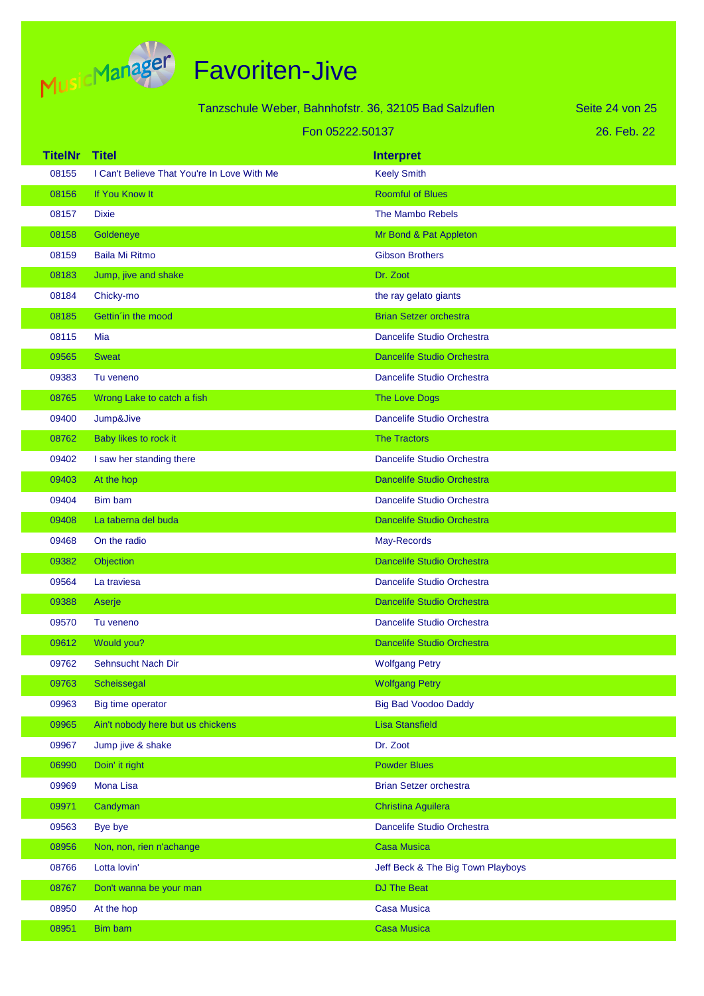

|                | Tanzschule Weber, Bahnhofstr. 36, 32105 Bad Salzuflen |                                   | Seite 24 von 25 |
|----------------|-------------------------------------------------------|-----------------------------------|-----------------|
|                |                                                       | Fon 05222.50137                   | 26. Feb. 22     |
| <b>TitelNr</b> | <b>Titel</b>                                          | <b>Interpret</b>                  |                 |
| 08155          | I Can't Believe That You're In Love With Me           | <b>Keely Smith</b>                |                 |
| 08156          | If You Know It                                        | <b>Roomful of Blues</b>           |                 |
| 08157          | <b>Dixie</b>                                          | <b>The Mambo Rebels</b>           |                 |
| 08158          | Goldeneye                                             | Mr Bond & Pat Appleton            |                 |
| 08159          | <b>Baila Mi Ritmo</b>                                 | <b>Gibson Brothers</b>            |                 |
| 08183          | Jump, jive and shake                                  | Dr. Zoot                          |                 |
| 08184          | Chicky-mo                                             | the ray gelato giants             |                 |
| 08185          | Gettin in the mood                                    | <b>Brian Setzer orchestra</b>     |                 |
| 08115          | Mia                                                   | Dancelife Studio Orchestra        |                 |
| 09565          | <b>Sweat</b>                                          | <b>Dancelife Studio Orchestra</b> |                 |
| 09383          | Tu veneno                                             | Dancelife Studio Orchestra        |                 |
| 08765          | Wrong Lake to catch a fish                            | <b>The Love Dogs</b>              |                 |
| 09400          | Jump&Jive                                             | Dancelife Studio Orchestra        |                 |
| 08762          | Baby likes to rock it                                 | <b>The Tractors</b>               |                 |
| 09402          | I saw her standing there                              | Dancelife Studio Orchestra        |                 |
| 09403          | At the hop                                            | <b>Dancelife Studio Orchestra</b> |                 |
| 09404          | Bim bam                                               | Dancelife Studio Orchestra        |                 |
| 09408          | La taberna del buda                                   | <b>Dancelife Studio Orchestra</b> |                 |
| 09468          | On the radio                                          | May-Records                       |                 |
| 09382          | Objection                                             | <b>Dancelife Studio Orchestra</b> |                 |
| 09564          | La traviesa                                           | Dancelife Studio Orchestra        |                 |
| 09388          | Aserje                                                | <b>Dancelife Studio Orchestra</b> |                 |
| 09570          | Tu veneno                                             | Dancelife Studio Orchestra        |                 |
| 09612          | Would you?                                            | <b>Dancelife Studio Orchestra</b> |                 |
| 09762          | Sehnsucht Nach Dir                                    | <b>Wolfgang Petry</b>             |                 |
| 09763          | Scheissegal                                           | <b>Wolfgang Petry</b>             |                 |
| 09963          | Big time operator                                     | <b>Big Bad Voodoo Daddy</b>       |                 |
| 09965          | Ain't nobody here but us chickens                     | <b>Lisa Stansfield</b>            |                 |
| 09967          | Jump jive & shake                                     | Dr. Zoot                          |                 |
| 06990          | Doin' it right                                        | <b>Powder Blues</b>               |                 |
| 09969          | Mona Lisa                                             | <b>Brian Setzer orchestra</b>     |                 |
| 09971          | Candyman                                              | <b>Christina Aguilera</b>         |                 |
| 09563          | Bye bye                                               | Dancelife Studio Orchestra        |                 |
| 08956          | Non, non, rien n'achange                              | <b>Casa Musica</b>                |                 |
| 08766          | Lotta lovin'                                          | Jeff Beck & The Big Town Playboys |                 |
| 08767          | Don't wanna be your man                               | <b>DJ The Beat</b>                |                 |
| 08950          | At the hop                                            | <b>Casa Musica</b>                |                 |
| 08951          | Bim bam                                               | <b>Casa Musica</b>                |                 |